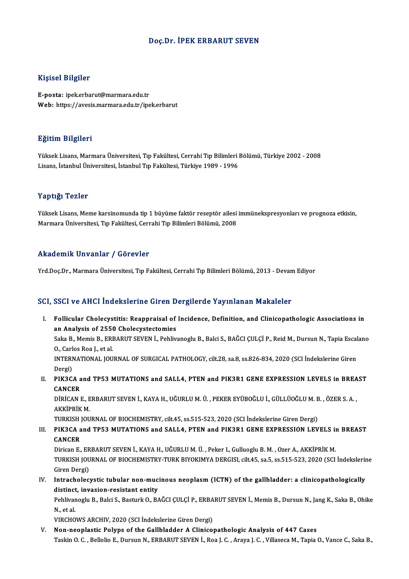#### Doç.Dr. İPEK ERBARUT SEVEN

#### Kişisel Bilgiler

E-posta: ipek.erbarut@marmara.edu.tr Web: https://avesis.marmara.edu.tr/ipek.erbarut

#### Eğitim Bilgileri

**Eğitim Bilgileri**<br>Yüksek Lisans, Marmara Üniversitesi, Tıp Fakültesi, Cerrahi Tıp Bilimleri Bölümü, Türkiye 2002 - 2008<br>Lisans, İstanbul Üniversitesi, İstanbul Tıp Fakültesi, Türkiye 1999, 1996 Lisansın Daryacar<br>Yüksek Lisans, Marmara Üniversitesi, Tıp Fakültesi, Cerrahi Tıp Bilimleri l<br>Lisans, İstanbul Üniversitesi, İstanbul Tıp Fakültesi, Türkiye 1989 - 1996 Lisans, İstanbul Üniversitesi, İstanbul Tıp Fakültesi, Türkiye 1989 - 1996<br>Yaptığı Tezler

Yaptığı Tezler<br>Yüksek Lisans, Meme karsinomunda tip 1 büyüme faktör reseptör ailesi immünekspresyonları ve prognoza etkisin,<br>Marmare Üniversitesi "Tın Fakültesi, Carrabi "Tın Bilimleri Bölümü, 2008 Tüptigi<br>Yüksek Lisans, Meme karsinomunda tip 1 büyüme faktör reseptör ailesi<br>Marmara Üniversitesi, Tıp Fakültesi, Cerrahi Tıp Bilimleri Bölümü, 2008 Marmara Üniversitesi, Tıp Fakültesi, Cerrahi Tıp Bilimleri Bölümü, 2008<br>Akademik Unvanlar / Görevler

Yrd.Doç.Dr., Marmara Üniversitesi, Tıp Fakültesi, Cerrahi Tıp Bilimleri Bölümü, 2013 - Devam Ediyor

#### SCI, SSCI ve AHCI İndekslerine Giren Dergilerde Yayınlanan Makaleler

CI, SSCI ve AHCI İndekslerine Giren Dergilerde Yayınlanan Makaleler<br>I. Follicular Cholecystitis: Reappraisal of Incidence, Definition, and Clinicopathologic Associations in<br>20 Analysis of 2550 Cholecystatemies Bour voltinus much berne un director<br>Follicular Cholecystitis: Reappraisal of<br>an Analysis of 2550 Cholecystectomies Follicular Cholecystitis: Reappraisal of Incidence, Definition, and Clinicopathologic Associations in<br>an Analysis of 2550 Cholecystectomies<br>Saka B., Memis B., ERBARUT SEVEN İ., Pehlivanoglu B., Balci S., BAĞCI ÇULÇİ P., Re

an Analysis of 2550 Cholecystectomies<br>Saka B., Memis B., ERBARUT SEVEN İ., Pehlivanoglu B., Balci S., BAĞCI ÇULÇİ P., Reid M., Dursun N., Tapia Esca<br>O., Carlos Roa J., et al.<br>INTERNATIONAL JOURNAL OF SURGICAL PATHOLOGY, ci Saka B., Memis B., ERBARUT SEVEN İ., Pehlivanoglu B., Balci S., BAĞCI ÇULÇİ P., Reid M., Dursun N., Tapia Escalano

Dergi) INTERNATIONAL JOURNAL OF SURGICAL PATHOLOGY, cilt.28, sa.8, ss.826-834, 2020 (SCI İndekslerine Giren<br>Dergi)<br>II. PIK3CA and TP53 MUTATIONS and SALL4, PTEN and PIK3R1 GENE EXPRESSION LEVELS in BREAST<br>CANGER

Dergi)<br>PIK3CA a<br>CANCER<br>D<sup>ipicAN</sup>J PIK3CA and TP53 MUTATIONS and SALL4, PTEN and PIK3R1 GENE EXPRESSION LEVELS in BREA<br>CANCER<br>DİRİCAN E., ERBARUT SEVEN İ., KAYA H., UĞURLU M. Ü. , PEKER EYÜBOĞLU İ., GÜLLÜOĞLU M. B. , ÖZER S. A. ,<br>AKKİPRİK M

CANCER<br>DİRİCAN E., E<br>AKKİPRİK M.<br>TURKISH JOU DİRİCAN E., ERBARUT SEVEN İ., KAYA H., UĞURLU M. Ü. , PEKER EYÜBOĞLU İ., GÜLLÜOĞLU M. B<br>AKKİPRİK M.<br>TURKISH JOURNAL OF BIOCHEMISTRY, cilt.45, ss.515-523, 2020 (SCI İndekslerine Giren Dergi)<br>BIK2CA and TBE2 MUTATIONS and SA

# AKKİPRİK M.<br>TURKISH JOURNAL OF BIOCHEMISTRY, cilt.45, ss.515-523, 2020 (SCI İndekslerine Giren Dergi)<br>III. PIK3CA and TP53 MUTATIONS and SALL4, PTEN and PIK3R1 GENE EXPRESSION LEVELS in BREAST<br>CANCER TURKISH<br>PIK3CA a<br>CANCER<br>Dirican E PIK3CA and TP53 MUTATIONS and SALL4, PTEN and PIK3R1 GENE EXPRESSION LEVELS in<br>CANCER<br>Dirican E., ERBARUT SEVEN İ., KAYA H., UĞURLU M. Ü. , Peker I., Gulluoglu B. M. , Ozer A., AKKİPRİK M.<br>TURKISH JOURNAL OF RIOCHEMISTRY T

CANCER<br>Dirican E., ERBARUT SEVEN İ., KAYA H., UĞURLU M. Ü. , Peker I., Gulluoglu B. M. , Ozer A., AKKİPRİK M.<br>TURKISH JOURNAL OF BIOCHEMISTRY-TURK BIYOKIMYA DERGISI, cilt.45, sa.5, ss.515-523, 2020 (SCI İndekslerine<br>Ciron Dirican E., ER<br>TURKISH JOU<br>Giren Dergi)<br>Intrasheles TURKISH JOURNAL OF BIOCHEMISTRY-TURK BIYOKIMYA DERGISI, cilt.45, sa.5, ss.515-523, 2020 (SCI İndekslerin<br>Giren Dergi)<br>IV. Intrachological properties tubular non-mucinous neoplasm (ICTN) of the gallbladder: a clinicopatholo

Giren Dergi)<br>Intracholecystic tubular non-muc<br>distinct, invasion-resistant entity<br>Pehlivanegh B. Belgi S. Besturk O. B. Intracholecystic tubular non-mucinous neoplasm (ICTN) of the gallbladder: a clinicopathologically<br>distinct, invasion-resistant entity<br>Pehlivanoglu B., Balci S., Basturk O., BAĞCI ÇULÇİ P., ERBARUT SEVEN İ., Memis B., Dursu

di<mark>stinct</mark><br>Pehlivar<br>N., et al.<br>VIPCHO Pehlivanoglu B., Balci S., Basturk O., BAĞCI ÇULÇİ P., ERBA<br>N., et al.<br>VIRCHOWS ARCHIV, 2020 (SCI İndekslerine Giren Dergi)<br>Nen neoplastis Bolyns of the Callbladder A Clinise: N., et al.<br>VIRCHOWS ARCHIV, 2020 (SCI İndekslerine Giren Dergi)<br>V. Non-neoplastic Polyps of the Gallbladder A Clinicopathologic Analysis of 447 Cases

Taskin O.C., Bellolio E., Dursun N., ERBARUT SEVEN İ., Roa J.C., Araya J.C., Villaseca M., Tapia O., Vance C., Saka B.,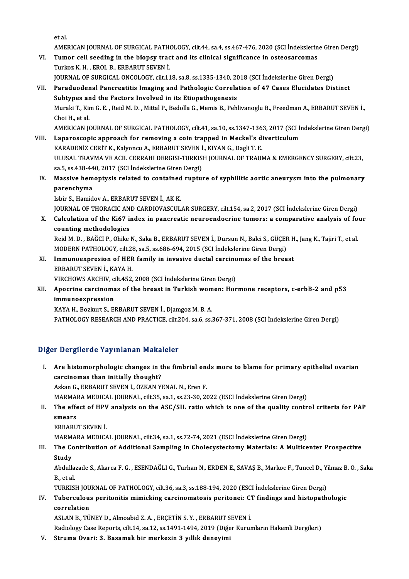etal.

AMERICAN JOURNAL OF SURGICAL PATHOLOGY, cilt.44, sa.4, ss.467-476, 2020 (SCI İndekslerine Giren Dergi)

- et al.<br>AMERICAN JOURNAL OF SURGICAL PATHOLOGY, cilt.44, sa.4, ss.467-476, 2020 (SCI İndekslerin<br>VI. Tumor cell seeding in the biopsy tract and its clinical significance in osteosarcomas<br>Turker K.H., EROL B. ERRABUT SEVEN İ AMERICAN JOURNAL OF SURGICAL PATH<br>**Tumor cell seeding in the biopsy trac**<br>Turkoz K. H. , EROL B., ERBARUT SEVEN İ.<br>JOUPNAL OF SURCICAL ONÇOLOCY .gilt 11 Tumor cell seeding in the biopsy tract and its clinical significance in osteosarcomas<br>Turkoz K. H. , EROL B., ERBARUT SEVEN İ.<br>JOURNAL OF SURGICAL ONCOLOGY, cilt.118, sa.8, ss.1335-1340, 2018 (SCI İndekslerine Giren Dergi) Turkoz K. H. , EROL B., ERBARUT SEVEN İ.<br>118, sa.8, ss.1335-1340, 2018 (SCI İndekslerine Giren Dergi)<br>11. Paraduodenal Pancreatitis Imaging and Pathologic Correlation of 47 Cases Elucidates Distinct JOURNAL OF SURGICAL ONCOLOGY, cilt.118, sa.8, ss.1335-1340, 2018 (SCI İndekslerine Giren Dergi)
- Muraki T., Kim G. E. , Reid M. D. , Mittal P., Bedolla G., Memis B., Pehlivanoglu B., Freedman A., ERBARUT SEVEN İ.,<br>Choi H. et al. Subtypes and the Factors Involved in its Etiopathogenesis Muraki T., Kim G. E. , Reid M. D. , Mittal P., Bedolla G., Memis B., Pehlivanoglu B., Freedman A., ERBARUT SEVEN İ.,<br>Choi H., et al.<br>AMERICAN JOURNAL OF SURGICAL PATHOLOGY, cilt.41, sa.10, ss.1347-1363, 2017 (SCI İndeksler Choi H., et al.<br>AMERICAN JOURNAL OF SURGICAL PATHOLOGY, cilt.41, sa.10, ss.1347-1363, 2017 (SCI İn<br>VIII. Laparoscopic approach for removing a coin trapped in Meckel's diverticulum<br>KARADENİZ CERİT K. Kakısonan A. ERRABUT SE

- AMERICAN JOURNAL OF SURGICAL PATHOLOGY, cilt.41, sa.10, ss.1347-136<br>Laparoscopic approach for removing a coin trapped in Meckel's d:<br>KARADENİZ CERİT K., Kalyoncu A., ERBARUT SEVEN İ., KIYAN G., Dagli T. E.<br>ULUSAL TRAVMA VE VIII. Laparoscopic approach for removing a coin trapped in Meckel's diverticulum<br>KARADENİZ CERİT K., Kalyoncu A., ERBARUT SEVEN İ., KIYAN G., Dagli T. E.<br>ULUSAL TRAVMA VE ACIL CERRAHI DERGISI-TURKISH JOURNAL OF TRAUMA & EM KARADENİZ CERİT K., Kalyoncu A., ERBARUT SEVEN İ<br>ULUSAL TRAVMA VE ACIL CERRAHI DERGISI-TURKIS<br>sa.5, ss.438-440, 2017 (SCI İndekslerine Giren Dergi)<br>Massive bementyais related te sentained runtu: ULUSAL TRAVMA VE ACIL CERRAHI DERGISI-TURKISH JOURNAL OF TRAUMA & EMERGENCY SURGERY, cilt.23,<br>sa.5, ss.438-440, 2017 (SCI indekslerine Giren Dergi)<br>IX. Massive hemoptysis related to contained rupture of syphilitic aortic a
	- sa.5, ss.438-44<br>Massive hem<br>parenchyma<br><sup>Ishin S.</sup> Hamid Massive hemoptysis related to contained<br>parenchyma<br>Isbir S., Hamidov A., ERBARUT SEVEN İ., AK K.<br>JOUPMAL OF THOPACIC AND CAPDIOVASCUL parenchyma<br>Isbir S., Hamidov A., ERBARUT SEVEN İ., AK K.<br>JOURNAL OF THORACIC AND CARDIOVASCULAR SURGERY, cilt.154, sa.2, 2017 (SCI İndekslerine Giren Dergi)

Isbir S., Hamidov A., ERBARUT SEVEN İ., AK K.<br>JOURNAL OF THORACIC AND CARDIOVASCULAR SURGERY, cilt.154, sa.2, 2017 (SCI İndekslerine Giren Dergi)<br>X. Calculation of the Ki67 index in pancreatic neuroendocrine tumors: a comp JOURNAL OF THORACIC AN<br>Calculation of the Ki67 is<br>counting methodologies Calculation of the Ki67 index in pancreatic neuroendocrine tumors: a comparative analysis of fo<br>counting methodologies<br>Reid M. D. , BAĞCI P., Ohike N., Saka B., ERBARUT SEVEN İ., Dursun N., Balci S., GÜÇER H., Jang K., Taj

counting methodologies<br>Reid M. D. , BAĞCI P., Ohike N., Saka B., ERBARUT SEVEN İ., Dursun N., Balci S., GÜÇER H., Jang K., Tajiri T., et al.<br>MODERN PATHOLOGY, cilt.28, sa.5, ss.686-694, 2015 (SCI İndekslerine Giren Dergi) Reid M. D. , BAĞCI P., Ohike N., Saka B., ERBARUT SEVEN İ., Dursun N., Balci S., GÜÇER H<br>MODERN PATHOLOGY, cilt.28, sa.5, ss.686-694, 2015 (SCI İndekslerine Giren Dergi)<br>XI. Immunoexpresion of HER family in invasive ductal

- MODERN PATHOLOGY, cilt.28<br>Immunoexpresion of HER<br>ERBARUT SEVEN İ., KAYA H.<br>VIRCHOWS ARCHIV, cilt.452 Immunoexpresion of HER family in invasive ductal carcino<br>ERBARUT SEVEN İ., KAYA H.<br>VIRCHOWS ARCHIV, cilt.452, 2008 (SCI İndekslerine Giren Dergi)<br>Aneerine sarsinemes of the breest in Turkish wemen; Her
- ERBARUT SEVEN İ., KAYA H.<br>VIRCHOWS ARCHIV, cilt.452, 2008 (SCI İndekslerine Giren Dergi)<br>XII. Apocrine carcinomas of the breast in Turkish women: Hormone receptors, c-erbB-2 and p53<br>immune.expression VIRCHOWS ARCHIV, c<br>Apocrine carcinoma<br>immunoexpression<br>KAVA H. Borluut S. El Apocrine carcinomas of the breast in Turkish wom<br>immunoexpression<br>KAYA H., Bozkurt S., ERBARUT SEVEN İ., Djamgoz M. B. A.<br>PATHOLOCY PESEARCH AND PRACTICE silt 204 sa 6 sa i

immunoexpression<br>KAYA H., Bozkurt S., ERBARUT SEVEN İ., Djamgoz M. B. A.<br>PATHOLOGY RESEARCH AND PRACTICE, cilt.204, sa.6, ss.367-371, 2008 (SCI İndekslerine Giren Dergi)

### Diğer Dergilerde Yayınlanan Makaleler

Iger Dergilerde Yayınlanan Makaleler<br>I. Are histomorphologic changes in the fimbrial ends more to blame for primary epithelial ovarian<br>consinemes than initially theysht? Are histomorphologic changes in t<br>darcinomas than initially thought?<br>Askan G. EPRAPUT SEVEN L. ÖZKAN VI carcinomas than initially thought?<br>Askan G., ERBARUT SEVEN İ., ÖZKAN YENAL N., Eren F. carcinomas than initially thought?<br>Askan G., ERBARUT SEVEN İ., ÖZKAN YENAL N., Eren F.<br>MARMARA MEDICAL JOURNAL, cilt.35, sa.1, ss.23-30, 2022 (ESCI İndekslerine Giren Dergi)<br>The effect of HBV analysis on the ASC (SIL ratio

## Askan G., ERBARUT SEVEN İ., ÖZKAN YENAL N., Eren F.<br>MARMARA MEDICAL JOURNAL, cilt.35, sa.1, ss.23-30, 2022 (ESCI İndekslerine Giren Dergi)<br>II. The effect of HPV analysis on the ASC/SIL ratio which is one of the quality MARMA<br>The effe<br>smears<br>EPPAPU The effect of HPV<br>smears<br>ERBARUT SEVEN İ.<br>MARMARA MEDICA smears<br>ERBARUT SEVEN İ.<br>MARMARA MEDICAL JOURNAL, cilt.34, sa.1, ss.72-74, 2021 (ESCI İndekslerine Giren Dergi)

# ERBARUT SEVEN İ.<br>MARMARA MEDICAL JOURNAL, cilt.34, sa.1, ss.72-74, 2021 (ESCI İndekslerine Giren Dergi)<br>III. The Contribution of Additional Sampling in Cholecystectomy Materials: A Multicenter Prospective<br>Study MARM<br>The Co<br>Study<br>Abdull The Contribution of Additional Sampling in Cholecystectomy Materials: A Multicenter Prospective<br>Study<br>Abdullazade S., Akarca F. G. , ESENDAĞLI G., Turhan N., ERDEN E., SAVAŞ B., Markoc F., Tuncel D., Yilmaz B. O. , Saka<br>B.

**Study<br>Abdulla:<br>B., et al.<br>TUPKISI** Abdullazade S., Akarca F. G. , ESENDAĞLI G., Turhan N., ERDEN E., SAVAŞ B., Markoc F., Tuncel D., Yi<br>B., et al.<br>TURKISH JOURNAL OF PATHOLOGY, cilt.36, sa.3, ss.188-194, 2020 (ESCI İndekslerine Giren Dergi)<br>Tuberauleus peri

## B., et al.<br>TURKISH JOURNAL OF PATHOLOGY, cilt.36, sa.3, ss.188-194, 2020 (ESCI İndekslerine Giren Dergi)<br>IV. Tuberculous peritonitis mimicking carcinomatosis peritonei: CT findings and histopathologic<br>correlation TURKISH JOU<br>Tuberculou:<br>correlation<br>ASLAN P. TÜ Tuberculous peritonitis mimicking carcinomatosis peritonei: C.<br>correlation<br>ASLAN B., TÜNEY D., Almoabid Z. A. , ERÇETİN S. Y. , ERBARUT SEVEN İ.<br>Pedialegy Case Penents. silt 14. se 12. se 1401-1404-2019 (Diğen Kunut correlation<br>ASLAN B., TÜNEY D., Almoabid Z. A. , ERÇETİN S. Y. , ERBARUT SEVEN İ.<br>Radiology Case Reports, cilt.14, sa.12, ss.1491-1494, 2019 (Diğer Kurumların Hakemli Dergileri)<br>V. Struma Ovari: 3. Basamak bir merkezin

ASLAN B., TÜNEY D., Almoabid Z. A. , ERÇETİN S. Y. , ERBARUT S<br>Radiology Case Reports, cilt.14, sa.12, ss.1491-1494, 2019 (Diğe<br>V. Struma Ovari: 3. Basamak bir merkezin 3 yıllık deneyimi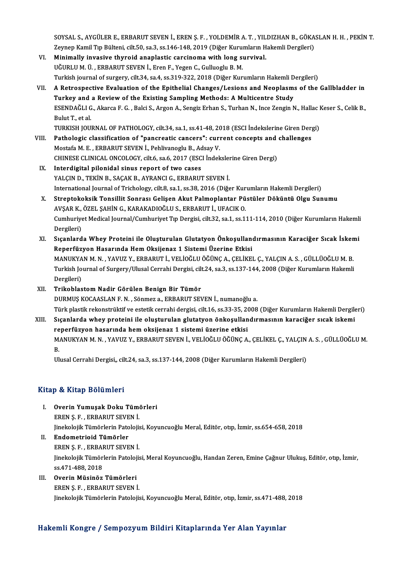SOYSAL S., AYGÜLER E., ERBARUT SEVEN İ., EREN Ş. F. , YOLDEMİR A. T. , YILDIZHAN B., GÖKASLAN H. H. , PEKİN T.<br>Zaunan Kamil Tın Bültani, gilt 50, sa 3, sa 146, 149, 2019 (Dižar Kunumların Hakamli Dargilari). SOYSAL S., AYGÜLER E., ERBARUT SEVEN İ., EREN Ş. F. , YOLDEMİR A. T. , YILDIZHAN B., GÖKA<br>Zeynep Kamil Tıp Bülteni, cilt.50, sa.3, ss.146-148, 2019 (Diğer Kurumların Hakemli Dergileri)<br>Minimally invasiya thynoid anaplastis Zeynep Kamil Tıp Bülteni, cilt.50, sa.3, ss.146-148, 2019 (Diğer Kurumların Hakemli Dergileri)

- VI. Minimally invasive thyroid anaplastic carcinoma with long survival.<br>UĞURLU M. Ü., ERBARUT SEVEN İ., Eren F., Yegen C., Gulluoglu B. M. Minimally invasive thyroid anaplastic carcinoma with long survival.<br>UĞURLU M. Ü. , ERBARUT SEVEN İ., Eren F., Yegen C., Gulluoglu B. M.<br>Turkish journal of surgery, cilt.34, sa.4, ss.319-322, 2018 (Diğer Kurumların Hakemli
- VII. A Retrospective Evaluation of the Epithelial Changes/Lesions and Neoplasms of the Gallbladder in Turkish journal of surgery, cilt.34, sa.4, ss.319-322, 2018 (Diğer Kurumların Hakemli D<br>A Retrospective Evaluation of the Epithelial Changes/Lesions and Neoplasm:<br>Turkey and a Review of the Existing Sampling Methods: A Mul ESENDAĞLI G., Akarca F. G. , Balci S., Argon A., Sengiz Erhan S., Turhan N., Ince Zengin N., Hallac Keser S., Celik B.,<br>Bulut T., et al. Turkey and a Review of the Existing Sampling Methods: A Multicentre Study ESENDAĞLI G., Akarca F. G. , Balci S., Argon A., Sengiz Erhan S., Turhan N., Ince Zengin N., Hallac I<br>Bulut T., et al.<br>TURKISH JOURNAL OF PATHOLOGY, cilt.34, sa.1, ss.41-48, 2018 (ESCI İndekslerine Giren Dergi)<br>Pathologia Bulut T., et al.<br>TURKISH JOURNAL OF PATHOLOGY, cilt.34, sa.1, ss.41-48, 2018 (ESCI Indekslerine Giren Derg<br>VIII. Pathologic classification of "pancreatic cancers": current concepts and challenges<br>Mestafo M. E. ERRAPUT SEVE

- TURKISH JOURNAL OF PATHOLOGY, cilt.34, sa.1, ss.41-48, 20<br>Pathologic classification of "pancreatic cancers": curi<br>Mostafa M. E. , ERBARUT SEVEN İ., Pehlivanoglu B., Adsay V.<br>CHINESE CLINICAL ONCOLOCY, silt 6, sa.6, 2017, ( Pathologic classification of "pancreatic cancers": current concepts and challenges<br>Mostafa M. E. , ERBARUT SEVEN İ., Pehlivanoglu B., Adsay V.<br>CHINESE CLINICAL ONCOLOGY, cilt.6, sa.6, 2017 (ESCI İndekslerine Giren Dergi)
- IX. Interdigital pilonidal sinus report of two cases YALÇIN D., TEKİN B., SAÇAK B., AYRANCI G., ERBARUT SEVEN İ. Interdigital pilonidal sinus report of two cases<br>YALÇIN D., TEKİN B., SAÇAK B., AYRANCI G., ERBARUT SEVEN İ.<br>International Journal of Trichology, cilt.8, sa.1, ss.38, 2016 (Diğer Kurumların Hakemli Dergileri)<br>Strentekekeki
- X. Streptokoksik Tonsillit Sonrası Gelişen Akut Palmoplantar Püstüler Döküntü Olgu Sunumu<br>AVSAR K., ÖZEL SAHİN G., KARAKADIOĞLU S., ERBARUT İ., UFACIK O. International Journal of Trichology, cilt.8, sa.1, ss.38, 2016 (Diğer Kur<br>Streptokoksik Tonsillit Sonrası Gelişen Akut Palmoplantar Pü<br>AVŞAR K., ÖZEL ŞAHİN G., KARAKADIOĞLU S., ERBARUT İ., UFACIK O.<br>Cumburiyat Medicel Jour Streptokoksik Tonsillit Sonrası Gelişen Akut Palmoplantar Püstüler Döküntü Olgu Sunumu<br>AVŞAR K., ÖZEL ŞAHİN G., KARAKADIOĞLU S., ERBARUT İ., UFACIK O.<br>Cumhuriyet Medical Journal/Cumhuriyet Tıp Dergisi, cilt.32, sa.1, ss.11 AVŞAR K.,<br>Cumhuriye<br>Dergileri)<br>Sısanlard Cumhuriyet Medical Journal/Cumhuriyet Tıp Dergisi, cilt.32, sa.1, ss.111-114, 2010 (Diğer Kurumların Hakemli<br>Dergileri)<br>XI. Sıçanlarda Whey Proteini ile Oluşturulan Glutatyon Önkoşullandırmasının Karaciğer Sıcak İskemi<br>Ran
- Dergileri)<br>XI. Sıçanlarda Whey Proteini ile Oluşturulan Glutatyon Önkoşullandırmasının Karaciğer Sıcak İskemi<br>Reperfüzyon Hasarında Hem Oksijenaz 1 Sistemi Üzerine Etkisi Sıçanlarda Whey Proteini ile Oluşturulan Glutatyon Önkoşullandırmasının Karaciğer Sıcak İsken<br>Reperfüzyon Hasarında Hem Oksijenaz 1 Sistemi Üzerine Etkisi<br>MANUKYAN M. N. , YAVUZ Y., ERBARUT İ., VELİOĞLU ÖĞÜNÇ A., ÇELİKEL Ç Reperfüzyon Hasarında Hem Oksijenaz 1 Sistemi Üzerine Etkisi<br>MANUKYAN M. N. , YAVUZ Y., ERBARUT İ., VELİOĞLU ÖĞÜNÇ A., ÇELİKEL Ç., YALÇIN A. S. , GÜLLÜOĞLU M. B.<br>Turkish Journal of Surgery/Ulusal Cerrahi Dergisi, cilt.24, MANUKYA<br>Turkish Jo<br>Dergileri)<br>Trikoblas Turkish Journal of Surgery/Ulusal Cerrahi Dergisi, cilt.24, sa.3, ss.137-144, 2008 (Diğer Kurumların Hakemli<br>Dergileri)<br>XII. Trikoblastom Nadir Görülen Benign Bir Tümör
- DURMUŞ KOCAASLAN F. N., Sönmez a., ERBARUT SEVEN İ., numanoğlu a. Türk plastik rekonstrüktif ve estetik cerrahi dergisi, cilt.16, ss.33-35, 2008 (Diğer Kurumların Hakemli Dergileri) DURMUŞ KOCAASLAN F. N. , Sönmez a., ERBARUT SEVEN İ., numanoğlu a.<br>Türk plastik rekonstrüktif ve estetik cerrahi dergisi, cilt.16, ss.33-35, 2008 (Diğer Kurumların Hakemli Dergile<br>XIII. Sıçanlarda whey proteini ile olu
- Türk plastik rekonstrüktif ve estetik cerrahi dergisi, cilt.16, ss.33-35, 20<br>Sıçanlarda whey proteini ile oluşturulan glutatyon önkoşullan<br>reperfüzyon hasarında hem oksijenaz 1 sistemi üzerine etkisi<br>MANUKYAN M.N. YAVUZ V. Sıçanlarda whey proteini ile oluşturulan glutatyon önkoşullandırmasının karaciğer sıcak iskemi<br>reperfüzyon hasarında hem oksijenaz 1 sistemi üzerine etkisi<br>MANUKYAN M. N. , YAVUZ Y., ERBARUT SEVEN İ., VELİOĞLU ÖĞÜNÇ A., ÇE re<br>M.<br>II. MANUKYAN M. N. , YAVUZ Y., ERBARUT SEVEN İ., VELİOĞLU ÖĞÜNÇ A., ÇELİKEL Ç., YALÇIN<br>B.<br>Ulusal Cerrahi Dergisi,, cilt.24, sa.3, ss.137-144, 2008 (Diğer Kurumların Hakemli Dergileri)

Ulusal Cerrahi Dergisi,, cilt.24, sa.3, ss.137-144, 2008 (Diğer Kurumların Hakemli Dergileri)<br>Kitap & Kitap Bölümleri

- I. Overin Yumuşak Doku Tümörleri e de ilitap Borannori<br>Overin Yumuşak Doku Tüme<br>EREN Ş. F. , ERBARUT SEVEN İ.<br>Jinekalajik Tümörlerin Batalaji Overin Yumuşak Doku Tümörleri<br>EREN Ş. F. , ERBARUT SEVEN İ.<br>Jinekolojik Tümörlerin Patolojisi, Koyuncuoğlu Meral, Editör, otıp, İzmir, ss.654-658, 2018<br>Endometrieid Tümörler EREN Ş. F. , ERBARUT SEVE<br>Jinekolojik Tümörlerin Pato<br>II. Endometrioid Tümörler<br>EREN S. E. ERRABUT SEVE
- Jinekolojik Tümörlerin Patolojis<br><mark>Endometrioid Tümörler</mark><br>EREN Ş. F. , ERBARUT SEVEN İ.<br>Jinekalejik Tümörlerin Batolojis II. Endometrioid Tümörler<br>EREN Ş. F. , ERBARUT SEVEN İ.<br>Jinekolojik Tümörlerin Patolojisi, Meral Koyuncuoğlu, Handan Zeren, Emine Çağnur Ulukuş, Editör, otıp, İzmir,<br>ss.471-488, 2018 EREN Ş. F., ERBARUT SEVEN İ. Jinekolojik Tümörlerin Patoloj<br>ss.471-488, 2018<br>III. Overin Müsinöz Tümörleri<br>EPEN S. E. EPPARIJT SEVEN İ
- ss.471-488, 2018<br><mark>Overin Müsinöz Tümörleri</mark><br>EREN Ş. F. , ERBARUT SEVEN İ.<br>Jinekalajik Tümörlerin Batalaji EREN Ş. F. , ERBARUT SEVEN İ.<br>Jinekolojik Tümörlerin Patolojisi, Koyuncuoğlu Meral, Editör, otıp, İzmir, ss.471-488, 2018

### Hakemli Kongre / Sempozyum Bildiri Kitaplarında Yer Alan Yayınlar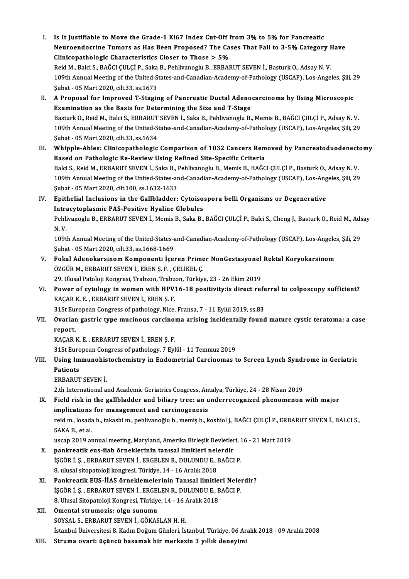- I. Is It Justifiable to Move the Grade-1 Ki67 Index Cut-Off from3%to 5%for Pancreatic Neuroendocrine Tumors as Has Been Proposed? The Cases That Fall to 3-5% Category Have<br>Clinicopathologic Characteristics Closer to Those  $> 5\%$ Is It Justifiable to Move the Grade-1 Ki67 Index Cut-Off f<br>Neuroendocrine Tumors as Has Been Proposed? The Ca:<br>Clinicopathologic Characteristics Closer to Those > 5%<br>Reid M. Belgi S. BAČCLCII CLP, Seka B. Reblivanegh: P. E Neuroendocrine Tumors as Has Been Proposed? The Cases That Fall to 3-5% Category <del>I</del><br>Clinicopathologic Characteristics Closer to Those > 5%<br>Reid M., Balci S., BAĞCI ÇULÇİ P., Saka B., Pehlivanoglu B., ERBARUT SEVEN İ., Bas 109th Annual Meeting of the United-States-and-Canadian-Academy-of-Pathology (USCAP), Los-Angeles, Şili, 29<br>Subat - 05 Mart 2020, cilt.33, ss.1673 Reid M., Balci S., BAĞCI ÇULÇİ P., Saka<br>109th Annual Meeting of the United-S<br>Şubat - 05 Mart 2020, cilt.33, ss.1673<br>A Branasal far Imnrayed T. Stagir 109th Annual Meeting of the United-States-and-Canadian-Academy-of-Pathology (USCAP), Los-Angeles, Șili, 2<br>Subat - 05 Mart 2020, cilt.33, ss.1673<br>II. A Proposal for Improved T-Staging of Pancreatic Ductal Adenocarcinoma by
- Subat 05 Mart 2020, cilt.33, ss.1673<br>A Proposal for Improved T-Staging of Pancreatic Ductal Adeno<br>Examination as the Basis for Determining the Size and T-Stage<br>Resturk O. Boid M. Bolsi S. ERRABUT SEVEN L Soka B. Boblivan A Proposal for Improved T-Staging of Pancreatic Ductal Adenocarcinoma by Using Microscopic<br>Examination as the Basis for Determining the Size and T-Stage<br>Basturk O., Reid M., Balci S., ERBARUT SEVEN İ., Saka B., Pehlivanogl Examination as the Basis for Determining the Size and T-Stage<br>Basturk O., Reid M., Balci S., ERBARUT SEVEN İ., Saka B., Pehlivanoglu B., Memis B., BAĞCI ÇULÇİ P., Adsay N. V.<br>109th Annual Meeting of the United-States-and-C Basturk O., Reid M., Balci S., ERBARUT<br>109th Annual Meeting of the United-S<br>Şubat - 05 Mart 2020, cilt.33, ss.1634<br>Whinple Ables: Clinisopathologia 109th Annual Meeting of the United-States-and-Canadian-Academy-of-Pathology (USCAP), Los-Angeles, Șili, 29<br>Subat - 05 Mart 2020, cilt.33, ss.1634<br>III. Whipple-Ables: Clinicopathologic Comparison of 1032 Cancers Removed by
- Subat 05 Mart 2020, cilt.33, ss.1634<br>Whipple-Ables: Clinicopathologic Comparison of 1032 Cancers Rem<br>Based on Pathologic Re-Review Using Refined Site-Specific Criteria<br>Baki S. Reid M. ERRAPUT SEVEN L. Seke B. Rehlivenegl Whipple-Ables: Clinicopathologic Comparison of 1032 Cancers Removed by Pancreatoduodenect<br>Based on Pathologic Re-Review Using Refined Site-Specific Criteria<br>Balci S., Reid M., ERBARUT SEVEN İ., Saka B., Pehlivanoglu B., Me Based on Pathologic Re-Review Using Refined Site-Specific Criteria<br>Balci S., Reid M., ERBARUT SEVEN İ., Saka B., Pehlivanoglu B., Memis B., BAĞCI ÇULÇİ P., Basturk O., Adsay N. V.<br>109th Annual Meeting of the United-States-Balci S., Reid M., ERBARUT SEVEN İ., Saka B., 1<br>109th Annual Meeting of the United-States-ar<br>Şubat - 05 Mart 2020, cilt.100, ss.1632-1633<br>Enithelial Inglusians in the Callhladden. 109th Annual Meeting of the United-States-and-Canadian-Academy-of-Pathology (USCAP), Los-Ang<br>
Subat - 05 Mart 2020, cilt.100, ss.1632-1633<br>
IV. Epithelial Inclusions in the Gallbladder: Cytoisospora belli Organisms or Dege
- Subat 05 Mart 2020, cilt.100, ss.1632-1633<br>Epithelial Inclusions in the Gallbladder: Cytoiso:<br>Intracytoplasmic PAS-Positive Hyaline Globules<br>Pehlivanesh: P. EPPAPUT SEVEN L. Memic B. Selia B. Epithelial Inclusions in the Gallbladder: Cytoisospora belli Organisms or Degenerative<br>Intracytoplasmic PAS-Positive Hyaline Globules<br>Pehlivanoglu B., ERBARUT SEVEN İ., Memis B., Saka B., BAĞCI ÇULÇİ P., Balci S., Cheng J. Intra<br>Pehli<br>N. V. Pehlivanoglu B., ERBARUT SEVEN İ., Memis B., Saka B., BAĞCI ÇULÇİ P., Balci S., Cheng J., Basturk O., Reid M., Ads<br>N. V.<br>109th Annual Meeting of the United-States-and-Canadian-Academy-of-Pathology (USCAP), Los-Angeles, Şil

N. V.<br>109th Annual Meeting of the United-States-and-Canadian-Academy-of-Pathology (USCAP), Los-Angeles, Şili, 29<br>Şubat - 05 Mart 2020, cilt.33, ss.1668-1669 109th Annual Meeting of the United-States-and-Canadian-Academy-of-Pathology (USCAP), Los-Angeles<br>
Subat - 05 Mart 2020, cilt.33, ss.1668-1669<br>
V. Fokal Adenokarsinom Komponenti İçeren Primer NonGestasyonel Rektal Koryokars

- Şubat 05 Mart 2020, cilt.33, ss.1668-1669<br>Fokal Adenokarsinom Komponenti İçeren Prime<br>ÖZGÜR M., ERBARUT SEVEN İ., EREN Ş. F. , ÇELİKEL Ç.<br>20 Ulucal Pataloji Kongresi Trabaon Trabaon Türkiy Fokal Adenokarsinom Komponenti İçeren Primer NonGestasyonel<br>ÖZGÜR M., ERBARUT SEVEN İ., EREN Ş. F. , ÇELİKEL Ç.<br>29. Ulusal Patoloji Kongresi, Trabzon, Trabzon, Türkiye, 23 - 26 Ekim 2019<br>Power of sytology in women with HBV
- ÖZGÜR M., ERBARUT SEVEN İ., EREN Ş. F. , ÇELİKEL Ç.<br>29. Ulusal Patoloji Kongresi, Trabzon, Trabzon, Türkiye, 23 26 Ekim 2019<br>VI. Power of cytology in women with HPV16-18 positivity:is direct referral to colposcopy su 29. Ulusal Patoloji Kongresi, Trabzon, Trabzon<br>Power of cytology in women with HPV<br>KAÇAR K.E., ERBARUT SEVEN İ., EREN Ş.F.<br>21St European Congress of pathology, Nice Power of cytology in women with HPV16-18 positivity:is direct refe<br>KAÇAR K. E. , ERBARUT SEVEN İ., EREN Ş. F.<br>31St European Congress of pathology, Nice, Fransa, 7 - 11 Eylül 2019, ss.83<br>Quarian sastris tune musineus sarsin

KAÇAR K. E. , ERBARUT SEVEN İ., EREN Ş. F.<br>31St European Congress of pathology, Nice, Fransa, 7 - 11 Eylül 2019, ss.83<br>VII. Ovarian gastric type mucinous carcinoma arising incidentally found mature cystic teratoma: a c 31St Eur<br><mark>Ovariar</mark><br>report.<br><sup>KACAB 1</sup> Ovarian gastric type mucinous carcinol<br>report.<br>KAÇAR K.E., ERBARUT SEVEN İ., EREN Ş.F.<br>21St European Congress of pathologu 7 Evl report.<br>KAÇAR K. E. , ERBARUT SEVEN İ., EREN Ş. F.<br>31St European Congress of pathology, 7 Eylül - 11 Temmuz 2019<br>Heing Immunobisteskemistuv in Endemetrial Carsinemes t

KAÇAR K. E. , ERBARUT SEVEN İ., EREN Ş. F.<br>31St European Congress of pathology, 7 Eylül - 11 Temmuz 2019<br>VIII. Using Immunohistochemistry in Endometrial Carcinomas to Screen Lynch Syndrome in Geriatric<br>Patients **31St Euro<br>Using Im<br>Patients<br>EPRAPUT** Using Immunohis<br>Patients<br>ERBARUT SEVEN İ.

2.th Internationaland<br>1988 - FRBARUT SEVEN İ.<br>2.th International and Academic Geriatrics Congress, Antalya, Türkiye, 24 - 28 Nisan

ERBARUT SEVEN İ.<br>2.th International and Academic Geriatrics Congress, Antalya, Türkiye, 24 - 28 Nisan 2019<br>IX. Field risk in the gallbladder and biliary tree: an underrecognized phenomenon with major<br>implications for manag 2.th International and Academic Geriatrics Congress, An<br>Field risk in the gallbladder and biliary tree: an u<br>implications for management and carcinogenesis<br>reid malesseds hatelsebim poblivaneğlu hamemis hal Field risk in the gallbladder and biliary tree: an underrecognized phenomenon with major<br>implications for management and carcinogenesis<br>reid m., losada h., takashi m., pehlivanoğlu b., memiş b., koshiol j., BAĞCI ÇULÇİ P., implications for management and carcinogenesis<br>reid m., losada h., takashi m., pehlivanoğlu b., memiş b., koshiol j., BAĞCI ÇULÇİ P., ERBARUT SEVEN İ., BALCI S.,<br>SAKA B., et al. reid m., losada h., takashi m., pehlivanoğlu b., memiş b., koshiol j., BAĞCI ÇULÇİ P., ERBA<br>SAKA B., et al.<br>uscap 2019 annual meeting, Maryland, Amerika Birleşik Devletleri, 16 - 21 Mart 2019<br>pankreatik eve, ijab örnekleri

- SAKA B., et al.<br>uscap 2019 annual meeting, Maryland, Amerika Birleşik Devletler<br>X. pankreatik eus-iiab örneklerinin tanısal limitleri nelerdir<br>iscõp i.s., EPPAPUT SEVEN İ. EPCELEN P. DULUNDU E. PAČCI uscap 2019 annual meeting, Maryland, Amerika Birleşik Devletleri, 1<br>pankreatik eus-iiab örneklerinin tanısal limitleri nelerdir<br>İŞGÖR İ. Ş. , ERBARUT SEVEN İ., ERGELEN R., DULUNDU E., BAĞCI P.<br>8. ulusal sitanatalaji kansre 8. pankreatik eus-iiab örneklerinin tanısal limitleri nelerdir<br>1960'n 1. Ş., ERBARUT SEVEN 1., ERGELEN R., DULUNDU E., BAĞCI P.<br>8. ulusal sitopatoloji kongresi, Türkiye, 14 - 16 Aralık 2018
- XI. Pankreatik EUS-İİAS örneklemelerinin Tanısal limitleri Nelerdir? 8. ulusal sitopatoloji kongresi, Türkiye, 14 - 16 Aralık 2018<br>Pankreatik EUS-İİAS örneklemelerinin Tanısal limitleri Neler<br>İŞGÖR İ. Ş. , ERBARUT SEVEN İ., ERGELEN R., DULUNDU E., BAĞCI P.<br>8. Ulusal Sitapatalaji Kongresi, T Pankreatik EUS-İİAS örneklemelerinin Tanısal limitle<br>İŞGÖR İ. Ş. , ERBARUT SEVEN İ., ERGELEN R., DULUNDU E., B<br>8. Ulusal Sitopatoloji Kongresi, Türkiye, 14 - 16 Aralık 2018<br>Omantal atnumarisu algu sunumu 8. Ulusal Sitopatoloji Kongresi, Türkiye, 14 - 16 Aralık 2018
- XII. Omental strumozis: olgu sunumu<br>SOYSAL S., ERBARUT SEVEN İ., GÖKASLAN H. H. İstanbul Üniversitesi 8. Kadın Doğum Günleri, İstanbul, Türkiye, 06 Aralık 2018 - 09 Aralık 2008
- XIII. Struma ovari: üçüncü basamak bir merkezin 3 yıllık deneyimi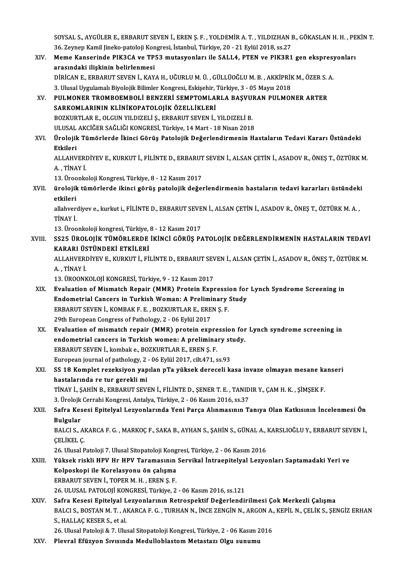SOYSAL S., AYGÜLER E., ERBARUT SEVEN İ., EREN Ş. F. , YOLDEMİR A. T. , YILDIZHAN B., GÖKASLAN H. H. , PEKİN T.<br>36. Zeyman Kamil linaka natalaji Kangrasi, İstanbul Türkiye 20., 21. Eylül 2018. se 27. SOYSAL S., AYGÜLER E., ERBARUT SEVEN İ., EREN Ş. F. , YOLDEMİR A. T. , YILDIZHAN I<br>36. Zeynep Kamil Jineko-patoloji Kongresi, İstanbul, Türkiye, 20 - 21 Eylül 2018, ss.27<br>Mama Kanaaninda BIK2CA ya TBE2 mutaayanları ile SAL SOYSAL S., AYGÜLER E., ERBARUT SEVEN İ., EREN Ş. F. , YOLDEMİR A. T. , YILDIZHAN B., GÖKASLAN H. H. , PE<br>36. Zeynep Kamil Jineko-patoloji Kongresi, İstanbul, Türkiye, 20 - 21 Eylül 2018, ss.27<br>XIV. Meme Kanserinde PIK3CA v

36. Zeynep Kamil Jineko-patoloji Kongresi, İstanbul, Türkiye, 20 - 21 Eylül 2018, ss.27<br>Meme Kanserinde PIK3CA ve TP53 mutasyonları ile SALL4, PTEN ve PIK3R1 gen ekspresyonları<br>arasındaki iliskinin belirlenmesi Meme Kanserinde PIK3CA ve TP53 mutasyonları ile SALL4, PTEN ve PIK3R1 gen ekspresy<br>arasındaki ilişkinin belirlenmesi<br>DİRİCAN E., ERBARUT SEVEN İ., KAYA H., UĞURLU M. Ü. , GÜLLÜOĞLU M. B. , AKKİPRİK M., ÖZER S. A.<br>2. Ulusal arasındaki ilişkinin belirlenmesi<br>DİRİCAN E., ERBARUT SEVEN İ., KAYA H., UĞURLU M. Ü. , GÜLLÜOĞLU M. B. , AKKİPRİK<br>3. Ulusal Uygulamalı Biyolojik Bilimler Kongresi, Eskişehir, Türkiye, 3 - 05 Mayıs 2018<br>BIIL MONER TROMROFM

- DİRİCAN E., ERBARUT SEVEN İ., KAYA H., UĞURLU M. Ü. , GÜLLÜOĞLU M. B. , AKKİPRİK M., ÖZER S. .<br>3. Ulusal Uygulamalı Biyolojik Bilimler Kongresi, Eskişehir, Türkiye, 3 05 Mayıs 2018<br>XV. PULMONER TROMBOEMBOLİ BENZER 3. Ulusal Uygulamalı Biyolojik Bilimler Kongresi, Eskişehir, Türkiye, 3 - 05 Mayıs 2018<br>PULMONER TROMBOEMBOLİ BENZERİ SEMPTOMLARLA BAŞVURAN PULMO<br>SARKOMLARININ KLİNİKOPATOLOJİK ÖZELLİKLERİ<br>BOZKURTLAR E. OLGUN YILDIZELİ S. XV. PULMONER TROMBOEMBOLİ BENZERİ SEMPTOMLARLA BAŞVURAN PULMONER ARTER ULUSAL AKCİĞER SAĞLIĞI KONGRESİ, Türkiye, 14 Mart - 18 Nisan 2018
- BOZKURTLAR E., OLGUN YILDIZELİ Ş., ERBARUT SEVEN İ., YILDIZELİ B.<br>ULUSAL AKCİĞER SAĞLIĞI KONGRESİ, Türkiye, 14 Mart 18 Nisan 2018<br>XVI. Ürolojik Tümörlerde İkinci Görüş Patolojik Değerlendirmenin Hastaların Tedavi Kar ULUSAL<br><mark>Ürolojik</mark><br>Etkileri Ürolojik Tümörlerde İkinci Görüş Patolojik Değerlendirmenin Hastaların Tedavi Kararı Üstündeki<br>Etkileri<br>ALLAHVERDİYEV E., KURKUT İ., FİLİNTE D., ERBARUT SEVEN İ., ALSAN ÇETİN İ., ASADOV R., ÖNEŞ T., ÖZTÜRK M.<br>A. TİNAV İ

Etkileri<br>ALLAHVERI<br>A. , TİNAY İ.<br>12. Üreenke ALLAHVERDİYEV E., KURKUT İ., FİLİNTE D., ERBARUT<br>A. , TİNAY İ.<br>13. Üroonkoloji Kongresi, Türkiye, 8 - 12 Kasım 2017<br>ürolojik tümörlerde ikingi görüş patolojik değel

A. , TİNAY İ.<br>13. Üroonkoloji Kongresi, Türkiye, 8 - 12 Kasım 2017<br>XVII. ürolojik tümörlerde ikinci görüş patolojik değerlendirmenin hastaların tedavi kararları üstündeki 13. Üroonkoloji Kongresi, Türkiye, 8 - 12 Kasım 2017<br>ürolojik tümörlerde ikinci görüş patolojik değe<br>etkileri ürolojik tümörlerde ikinci görüş patolojik değerlendirmenin hastaların tedavi kararları üstündek<br>etkileri<br>allahverdiyev e., kurkut i., FİLİNTE D., ERBARUT SEVEN İ., ALSAN ÇETİN İ., ASADOV R., ÖNEŞ T., ÖZTÜRK M. A. ,<br>TİNAV

e<mark>tkileri</mark><br>allahvere<br>TİNAY İ. allahverdiyev e., kurkut i., FİLİNTE D., ERBARUT SEVE<br>TİNAY İ.<br>13. Üroonkoloji kongresi, Türkiye, 8 - 12 Kasım 2017<br>SS25 ÜROLOUK TÜMÖRLERRE İKİNCİ GÖRÜS RA

TİNAY İ.<br>13. Üroonkoloji kongresi, Türkiye, 8 - 12 Kasım 2017<br>XVIII. SS25 ÜROLOJİK TÜMÖRLERDE İKİNCİ GÖRÜŞ PATOLOJİK DEĞERLENDİRMENİN HASTALARIN TEDAVİ<br>KARARI ÜSTÜNDEKİ ETKİLERİ 13. Üroonkoloji kongresi, Türkiye,<br>SS25 ÜROLOJİK TÜMÖRLERDE<br>KARARI ÜSTÜNDEKİ ETKİLERİ<br>ALLAHVERDİYEV ETKILERİ ET SS25 ÜROLOJİK TÜMÖRLERDE İKİNCİ GÖRÜŞ PATOLOJİK DEĞERLENDİRMENİN HASTALARIN TEDAV<br>KARARI ÜSTÜNDEKİ ETKİLERİ<br>ALLAHVERDİYEV E., KURKUT İ., FİLİNTE D., ERBARUT SEVEN İ., ALSAN ÇETİN İ., ASADOV R., ÖNEŞ T., ÖZTÜRK M.<br>ALTİNAV İ

KARARI ÜS<br>ALLAHVERI<br>A., TİNAY İ.<br>12. ÜPOONL ALLAHVERDİYEV E., KURKUT İ., FİLİNTE D., ERBARUT SEV<br>A. , TİNAY İ.<br>13. ÜROONKOLOJİ KONGRESİ, Türkiye, 9 - 12 Kasım 2017<br>Evaluation of Mismatsh Banair (MMB), Pratain Evni

- A., TİNAY İ.<br>13. ÜROONKOLOJİ KONGRESİ, Türkiye, 9 12 Kasım 2017<br>XIX. Evaluation of Mismatch Repair (MMR) Protein Expression for Lynch Syndrome Screening in<br>Endemetrial Canaars in Turkish Weman: A Braliminary Study. 13. ÜROONKOLOJİ KONGRESİ, Türkiye, 9 - 12 Kasım 2017<br>Evaluation of Mismatch Repair (MMR) Protein Expression for<br>Endometrial Cancers in Turkish Woman: A Preliminary Study<br>EPRAPUT SEVEN İ. KOMRAK E E. POZKUPTI AR E. EPEN S. Evaluation of Mismatch Repair (MMR) Protein Expressi<br>Endometrial Cancers in Turkish Woman: A Preliminary<br>ERBARUT SEVEN İ., KOMBAK F. E. , BOZKURTLAR E., EREN Ş. F.<br>20th European Congress of Pathology 2, 06 Evlül 2017 Endometrial Cancers in Turkish Woman: A Preliminary Study<br>ERBARUT SEVEN İ., KOMBAK F. E., BOZKURTLAR E., EREN Ş. F.<br>29th European Congress of Pathology, 2 - 06 Eylül 2017 ERBARUT SEVEN İ., KOMBAK F. E. , BOZKURTLAR E., EREN Ş. F.<br>29th European Congress of Pathology, 2 - 06 Eylül 2017<br>XX. Evaluation of mismatch repair (MMR) protein expression for Lynch syndrome screening in<br>andometrial sansa
- 29th European Congress of Pathology, 2 06 Eylül 2017<br>Evaluation of mismatch repair (MMR) protein expression for<br>endometrial cancers in Turkish women: A preliminary study.<br>EPRAPUT SEVEN i Jombake, POZKUPTI AR E. EREN S. E Evaluation of mismatch repair (MMR) protein expre<br>endometrial cancers in Turkish women: A prelimina<br>ERBARUT SEVEN İ., kombak e., BOZKURTLAR E., EREN Ş. F.<br>Furancan journal of nathology 2., 06 Evlül 2017, silt 471, c endometrial cancers in Turkish women: A preliminary st<br>ERBARUT SEVEN İ., kombak e., BOZKURTLAR E., EREN Ş. F.<br>European journal of pathology, 2 - 06 Eylül 2017, cilt.471, ss.93<br>SS.18 Komplet paraksiyon yapılan pTa vülsesk d ERBARUT SEVEN İ., kombak e., BOZKURTLAR E., EREN Ş. F.<br>European journal of pathology, 2 - 06 Eylül 2017, cilt471, ss.93<br>XXI. SS 18 Komplet rezeksiyon yapılan pTa yüksek dereceli kasa invaze olmayan mesane kanseri<br>bastelanı
- European journal of pathology, 2<br>SS 18 Komplet rezeksiyon yap<br>hastalarında re tur gerekli mi<br>Tinav i. SAHİN B. ERRARUT SEVI SS 18 Komplet rezeksiyon yapılan pTa yüksek dereceli kasa invaze olmayan mesane ka<br>hastalarında re tur gerekli mi<br>TİNAY İ., ŞAHİN B., ERBARUT SEVEN İ., FİLİNTE D., ŞENER T. E. , TANIDIR Y., ÇAM H. K. , ŞİMŞEK F.<br>2. Ünalail hastalarında re tur gerekli mi<br>3. TİNAY İ., ŞAHİN B., ERBARUT SEVEN İ., FİLİNTE D., ŞENER T. E. , TANIDIR Y., ÇAM H. K. , ŞİMŞEK F.<br>3. Ürolojk Cerrahi Kongresi, Antalya, Türkiye, 2 - 06 Kasım 2016, ss.37
- TİNAY İ., ŞAHİN B., ERBARUT SEVEN İ., FİLİNTE D., ŞENER T. E. , TANIDIR Y., ÇAM H. K. , ŞİMŞEK F.<br>3. Ürolojk Cerrahi Kongresi, Antalya, Türkiye, 2 06 Kasım 2016, ss.37<br>XXII. Safra Kesesi Epitelyal Lezyonlarında Yeni 3. Ürolojk<br>Safra Kes<br>Bulgular<br>PALCLS Safra Kesesi Epitelyal Lezyonlarında Yeni Parça Alınmasının Tanıya Olan Katkısının İncelenmesi Ön<br>Bulgular<br>BALCI S., AKARCA F. G. , MARKOÇ F., SAKA B., AYHAN S., ŞAHİN S., GÜNAL A., KARSLIOĞLU Y., ERBARUT SEVEN İ.,<br>CELİKEL

Bulgular<br>BALCI S., AKARCA F. G. , MARKOÇ F., SAKA B., AYHAN S., ŞAHİN S., GÜNAL A., KARSLIOĞLU Y., ERBARUT SEVEN İ.,<br>ÇELİKEL Ç.

26. Ulusal Patoloji 7. Ulusal Sitopatoloji Kongresi, Türkiye, 2 - 06 Kasım 2016

- ÇELİKEL Ç.<br>26. Ulusal Patoloji 7. Ulusal Sitopatoloji Kongresi, Türkiye, 2 06 Kasım 2016<br>XXIII. Yüksek riskli HPV Hr HPV Taramasının Servikal İntraepitelyal Lezyonları Saptamadaki Yeri ve<br>Kelnoskani ile Konelesyonu ö 26. Ulusal Patoloji 7. Ulusal Sitopatoloji Kong<br>Yüksek riskli HPV Hr HPV Taramasının<br>Kolposkopi ile Korelasyonu ön çalışma<br>EPRAPLIT SEVEN İ. TOPEP M HL, EPEN S. E Yüksek riskli HPV Hr HPV Taramasının<br>Kolposkopi ile Korelasyonu ön çalışma<br>ERBARUT SEVEN İ., TOPER M. H. , EREN Ş. F.<br>26 HLUSAL BATOLOU KONCRESI, Türkiye 2 Kolposkopi ile Korelasyonu ön çalışma<br>ERBARUT SEVEN İ., TOPER M. H. , EREN Ş. F.<br>26. ULUSAL PATOLOJİ KONGRESİ, Türkiye, 2 - 06 Kasım 2016, ss.121
- XXIV. Safra Kesesi Epitelyal Lezyonlarının Retrospektif Değerlendirilmesi Çok Merkezli Çalışma 26. ULUSAL PATOLOJİ KONGRESİ, Türkiye, 2 - 06 Kasım 2016, ss.121<br>Safra Kesesi Epitelyal Lezyonlarının Retrospektif Değerlendirilmesi Çok Merkezli Çalışma<br>BALCI S., BOSTAN M. T. , AKARCA F. G. , TURHAN N., İNCE ZENGİN N., A Safra Kesesi Epitelyal L<br>BALCI S., BOSTAN M. T. , A.<br>S., HALLAÇ KESER S., et al.<br>26. Ulusal Pataleji & 7. Ulu BALCI S., BOSTAN M. T. , AKARCA F. G. , TURHAN N., İNCE ZENGİN N., ARGON A.,<br>S., HALLAÇ KESER S., et al.<br>26. Ulusal Patoloji & 7. Ulusal Sitopatoloji Kongresi, Türkiye, 2 - 06 Kasım 2016<br>Plaunal Efüruon Suusunda Madullahla S., HALLAÇ KESER S., et al.<br>26. Ulusal Patoloji & 7. Ulusal Sitopatoloji Kongresi, Türkiye, 2 - 06 Kasım 2016<br>XXV. Plevral Efüzyon Sıvısında Medulloblastom Metastazı Olgu sunumu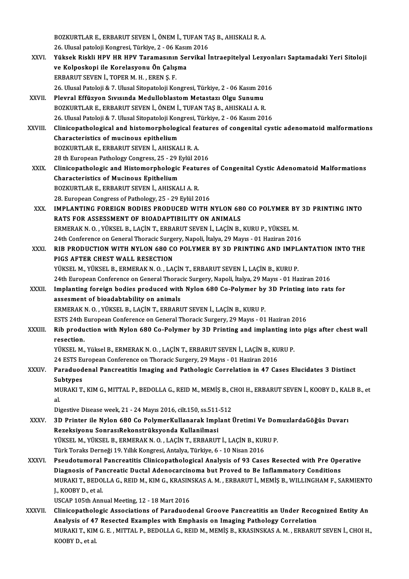BOZKURTLAR E., ERBARUT SEVEN İ., ÖNEM İ., TUFAN TAŞ B., AHISKALI R. A.<br>26 Hiyesi natalaji Kangresi, Türkiye, 2., 06 Kasım 2016 26.<br>26. Ulusal patoloji Kongresi, Türkiye, 2 - 06 Kasım 2016<br>Yüksek Biakli HDV HD HDV Tanamasının Senyikal İ BOZKURTLAR E., ERBARUT SEVEN İ., ÖNEM İ., TUFAN TAŞ B., AHISKALI R. A.<br>26. Ulusal patoloji Kongresi, Türkiye, 2 - 06 Kasım 2016<br>XXVI. Yüksek Riskli HPV HR HPV Taramasının Servikal İntraepitelyal Lezyonları Saptamadaki 26. Ulusal patoloji Kongresi, Türkiye, 2 - 06 Kasır<br>Yüksek Riskli HPV HR HPV Taramasının Se<br>ve Kolposkopi ile Korelasyonu Ön Çalışma<br>EPRAPLIT SEVEN İ. TORER M. H., EREN S. E Yüksek Riskli HPV HR HPV Taramasının<br>ve Kolposkopi ile Korelasyonu Ön Çalış<br>ERBARUT SEVEN İ., TOPER M. H. , EREN Ş. F.<br>26 Hural Patoloji & 7 Hural Sitopatoloji Ko ve Kolposkopi ile Korelasyonu Ön Çalışma<br>ERBARUT SEVEN İ., TOPER M. H. , EREN Ş. F.<br>26. Ulusal Patoloji & 7. Ulusal Sitopatoloji Kongresi, Türkiye, 2 - 06 Kasım 2016<br>Playral Effüzyon Suyeunda Madullablastam Matastarı Olay ERBARUT SEVEN İ., TOPER M. H. , EREN Ş. F.<br>26. Ulusal Patoloji & 7. Ulusal Sitopatoloji Kongresi, Türkiye, 2 - 06 Kasım 20<br>XXVII. Plevral Effüzyon Sıvısında Medulloblastom Metastazı Olgu Sunumu<br> POZKUPTLAR E. 26. Ulusal Patoloji & 7. Ulusal Sitopatoloji Kongresi, Türkiye, 2 - 06 Kasım 201<br>Plevral Effüzyon Sıvısında Medulloblastom Metastazı Olgu Sunumu<br>BOZKURTLAR E., ERBARUT SEVEN İ., ÖNEM İ., TUFAN TAŞ B., AHISKALI A. R.<br>26 Hlu Plevral Effüzyon Sıvısında Medulloblastom Metastazı Olgu Sunumu<br>BOZKURTLAR E., ERBARUT SEVEN İ., ÖNEM İ., TUFAN TAŞ B., AHISKALI A. R.<br>26. Ulusal Patoloji & 7. Ulusal Sitopatoloji Kongresi, Türkiye, 2 - 06 Kasım 2016<br>Clini BOZKURTLAR E., ERBARUT SEVEN İ., ÖNEM İ., TUFAN TAŞ B., AHISKALI A. R.<br>26. Ulusal Patoloji & 7. Ulusal Sitopatoloji Kongresi, Türkiye, 2 - 06 Kasım 2016<br>XXVIII. Clinicopathological and histomorphological features of co 26. Ulusal Patoloji & 7. Ulusal Sitopatoloji Kon<br>Clinicopathological and histomorpholog<br>Characteristics of mucinous epithelium<br>POZKUPTLAR E. ERRARUT SEVEN L. AUSKA Clinicopathological and histomorphological feachers.<br>Characteristics of mucinous epithelium<br>BOZKURTLAR E., ERBARUT SEVEN İ., AHISKALI R. A. Characteristics of mucinous epithelium<br>BOZKURTLAR E., ERBARUT SEVEN İ., AHISKALI R. A.<br>28 th European Pathology Congress, 25 - 29 Eylül 2016 BOZKURTLAR E., ERBARUT SEVEN İ., AHISKALI R. A.<br>28 th European Pathology Congress, 25 - 29 Eylül 2016<br>XXIX. Clinicopathologic and Histomorphologic Features of Congenital Cystic Adenomatoid Malformations<br>Characteristics 28 th European Pathology Congress, 25 - 29 E<br>Clinicopathologic and Histomorphologic<br>Characteristics of Mucinous Epithelium<br>POZKUPTLAR E. ERRABUT SEVEN LAHISKA Clinicopathologic and Histomorphologic Featu<br>Characteristics of Mucinous Epithelium<br>BOZKURTLAR E., ERBARUT SEVEN İ., AHISKALI A. R.<br>28 European Congress of Pathelogy, 25 - 20 Eulül 24 Characteristics of Mucinous Epithelium<br>BOZKURTLAR E., ERBARUT SEVEN İ., AHISKALI A. R.<br>28. European Congress of Pathology, 25 - 29 Eylül 2016 BOZKURTLAR E., ERBARUT SEVEN İ., AHISKALI A. R.<br>28. European Congress of Pathology, 25 - 29 Eylül 2016<br>XXX. IMPLANTING FOREIGN BODIES PRODUCED WITH NYLON 680 CO POLYMER BY 3D PRINTING INTO<br>RATS FOR ASSESSMENT OF BIOADA 28. European Congress of Pathology, 25 - 29 Eylül 2016<br>IMPLANTING FOREIGN BODIES PRODUCED WITH NYLON 68<br>RATS FOR ASSESSMENT OF BIOADAPTIBILITY ON ANIMALS<br>FRAERAKN OF VÜKSEL BELACINT, ERRABUT SEVEN LACIN B IMPLANTING FOREIGN BODIES PRODUCED WITH NYLON 680 CO POLYMER BY<br>RATS FOR ASSESSMENT OF BIOADAPTIBILITY ON ANIMALS<br>ERMERAK N. O. , YÜKSEL B., LAÇİN T., ERBARUT SEVEN İ., LAÇİN B., KURU P., YÜKSEL M.<br>24th Conference on Conor RATS FOR ASSESSMENT OF BIOADAPTIBILITY ON ANIMALS<br>ERMERAK N. O. , YÜKSEL B., LAÇİN T., ERBARUT SEVEN İ., LAÇİN B., KURU P., YÜKSEL M.<br>24th Conference on General Thoracic Surgery, Napoli, İtalya, 29 Mayıs - 01 Haziran 2016<br> XXXI. RIB PRODUCTION WITH NYLON 680 CO POLYMER BY 3D PRINTING AND IMPLANTATION INTO THE<br>PIGS AFTER CHEST WALL RESECTION 24th Conference on General Thoracic Surgery, Napoli, İtalya, 29 Mayıs - 01 Haziran 2016 YÜKSEL M., YÜKSEL B., ERMERAK N. O., LAÇİN T., ERBARUT SEVEN İ., LAÇİN B., KURU P. PIGS AFTER CHEST WALL RESECTION<br>YÜKSEL M., YÜKSEL B., ERMERAK N. O. , LAÇİN T., ERBARUT SEVEN İ., LAÇİN B., KURU P.<br>24th European Conference on General Thoracic Surgery, Napoli, İtalya, 29 Mayıs - 01 Haziran 2016<br>Implantin YÜKSEL M., YÜKSEL B., ERMERAK N. O. , LAÇİN T., ERBARUT SEVEN İ., LAÇİN B., KURU P.<br>24th European Conference on General Thoracic Surgery, Napoli, İtalya, 29 Mayıs - 01 Haziran 2016<br>XXXII. Implanting foreign bodies produced 24th European Conference on General Thorack<br>Implanting foreign bodies produced with<br>assesment of bioadabtability on animals<br>EPMERAKN O. VÜKSEL B. LACIN T. EPRAPI Implanting foreign bodies produced with Nylon 680 Co-Polymer by<br>assesment of bioadabtability on animals<br>ERMERAK N.O., YÜKSEL B., LAÇİN T., ERBARUT SEVEN İ., LAÇİN B., KURU P.<br>ESTS 24th European Conference en Ceneral Therac assesment of bioadabtability on animals<br>ERMERAK N. O. , YÜKSEL B., LAÇİN T., ERBARUT SEVEN İ., LAÇİN B., KURU P.<br>ESTS 24th European Conference on General Thoracic Surgery, 29 Mayıs - 01 Haziran 2016<br>Bib production with Nyl ERMERAK N. O. , YÜKSEL B., LAÇİN T., ERBARUT SEVEN İ., LAÇİN B., KURU P.<br>ESTS 24th European Conference on General Thoracic Surgery, 29 Mayıs - 01 Haziran 2016<br>XXXIII. Rib production with Nylon 680 Co-Polymer by 3D Prin ESTS 24th <mark>1</mark><br>Rib produ<br>resection.<br>vüvert M Rib production with Nylon 680 Co-Polymer by 3D Printing and implanting in<br>resection.<br>YÜKSEL M., Yüksel B., ERMERAK N. O. , LAÇİN T., ERBARUT SEVEN İ., LAÇİN B., KURU P.<br>24 ESTS European Canfaranes an Thanasis Surgary, 29 M resection.<br>YÜKSEL M., Yüksel B., ERMERAK N. O. , LAÇİN T., ERBARUT SEVEN İ., LAÇİN B., KU<br>24 ESTS European Conference on Thoracic Surgery, 29 Mayıs - 01 Haziran 2016<br>Paraduodenal Penereatitis Imaging and Pethologis Correla YÜKSEL M., Yüksel B., ERMERAK N. O. , LAÇİN T., ERBARUT SEVEN İ., LAÇİN B., KURU P.<br>24 ESTS European Conference on Thoracic Surgery, 29 Mayıs - 01 Haziran 2016<br>XXXIV. Paraduodenal Pancreatitis Imaging and Pathologic Co 24 ESTS E<mark>t</mark><br>Paraduod<br>Subtypes<br>MIRAKI T Paraduodenal Pancreatitis Imaging and Pathologic Correlation in 47 Cases Elucidates 3 Distinct<br>Subtypes<br>MURAKI T., KIM G., MITTAL P., BEDOLLA G., REID M., MEMİŞ B., CHOI H., ERBARUT SEVEN İ., KOOBY D., KALB B., et<br>el Su<br>Ml<br>ندا MURAKI T., KIM G., MITTAL P., BEDOLLA G., REID M., MEMİŞ B., C<br>al.<br>Digestive Disease week, 21 - 24 Mayıs 2016, cilt.150, ss.511-512<br>2D Printor ile Nylen 680 Go BolymerKullanarak Implant l al.<br>Digestive Disease week, 21 - 24 Mayıs 2016, cilt.150, ss.511-512<br>XXXV. 3D Printer ile Nylon 680 Co PolymerKullanarak Implant Üretimi Ve DomuzlardaGöğüs Duvarı<br>Rezeksiyonu SonrasıRekonstrüksyonda Kullanilmasi Digestive Disease week, 21 - 24 Mayıs 2016, cilt.150, ss.511<br>3D Printer ile Nylon 680 Co PolymerKullanarak Impl<br>Rezeksiyonu SonrasıRekonstrüksyonda Kullanilmasi<br>VÜKSEL M. VÜKSEL B. FRMERAKN O. LACİN T. ERRARIT 3D Printer ile Nylon 680 Co PolymerKullanarak Implant Üretimi Ve Dor<br>Rezeksiyonu SonrasıRekonstrüksyonda Kullanilmasi<br>YÜKSEL M., YÜKSEL B., ERMERAK N. O. , LAÇİN T., ERBARUT İ., LAÇİN B., KURU P.<br>Türk Toraka Darnağı 19, Yı Rezeksiyonu SonrasıRekonstrüksyonda Kullanilmasi<br>YÜKSEL M., YÜKSEL B., ERMERAK N. O. , LAÇİN T., ERBARUT İ., LAÇİN B., KUF<br>Türk Toraks Derneği 19. Yıllık Kongresi, Antalya, Türkiye, 6 - 10 Nisan 2016<br>Besudetumeral Bancreat YÜKSEL M., YÜKSEL B., ERMERAK N. O. , LAÇİN T., ERBARUT İ., LAÇİN B., KURU P.<br>Türk Toraks Derneği 19. Yıllık Kongresi, Antalya, Türkiye, 6 - 10 Nisan 2016<br>XXXVI. Pseudotumoral Pancreatitis Clinicopathological Analysis of 9 Türk Toraks Derneği 19. Yıllık Kongresi, Antalya, Türkiye, 6 - 10 Nisan 2016<br>Pseudotumoral Pancreatitis Clinicopathological Analysis of 93 Cases Resected with Pre Ope<br>Diagnosis of Pancreatic Ductal Adenocarcinoma but Prove Pseudotumoral Pancreatitis Clinicopathological Analysis of 93 Cases Resected with Pre Operative<br>Diagnosis of Pancreatic Ductal Adenocarcinoma but Proved to Be Inflammatory Conditions<br>MURAKI T., BEDOLLA G., REID M., KIM G., Diagnosis of Pancreatic Ductal Adenocarcinoma but Proved to Be Inflammatory Conditions<br>MURAKI T., BEDOLLA G., REID M., KIM G., KRASINSKAS A. M. , ERBARUT İ., MEMİŞ B., WILLINGHAM F., S.<br>J., KOOBY D., et al.<br>USCAP 105th Ann MURAKI T., BEDOLLA G., REID M., KIM G., KRASIN<br>J., KOOBY D., et al.<br>USCAP 105th Annual Meeting, 12 - 18 Mart 2016<br>Cliniconathologie Associations of Peredued J., KOOBY D., et al.<br>USCAP 105th Annual Meeting, 12 - 18 Mart 2016<br>XXXVII. Clinicopathologic Associations of Paraduodenal Groove Pancreatitis an Under Recognized Entity An<br>Analysis of 47 Besested Examples with Emphasis USCAP 105th Annual Meeting, 12 - 18 Mart 2016<br>Clinicopathologic Associations of Paraduodenal Groove Pancreatitis an Under Recog<br>Analysis of 47 Resected Examples with Emphasis on Imaging Pathology Correlation<br>MURAVUT, VIM.G Clinicopathologic Associations of Paraduodenal Groove Pancreatitis an Under Recognized Entity An<br>Analysis of 47 Resected Examples with Emphasis on Imaging Pathology Correlation<br>MURAKI T., KIM G. E. , MITTAL P., BEDOLLA G., Analysis of 47<br>MURAKI T., KIM<br>KOOBY D., et al.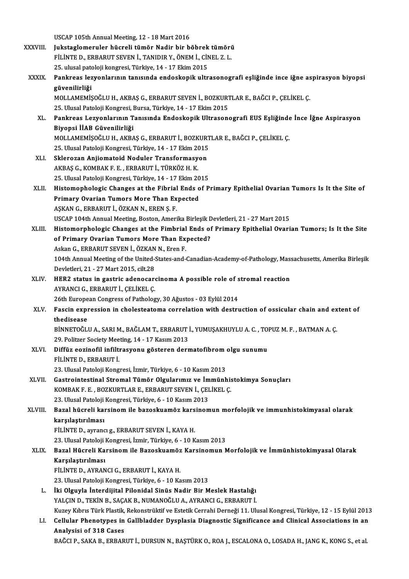USCAP 105th Annual Meeting, 12 - 18 Mart 2016<br>Iukstaalamarular büsreli tümör Nadir bir b

|              | USCAP 105th Annual Meeting, 12 - 18 Mart 2016                                                                                              |
|--------------|--------------------------------------------------------------------------------------------------------------------------------------------|
| XXXVIII.     | Jukstaglomeruler hücreli tümör Nadir bir böbrek tümörü                                                                                     |
|              | FILINTE D., ERBARUT SEVEN I., TANIDIR Y., ÖNEM I., CINEL Z. L.                                                                             |
|              | 25. ulusal patoloji kongresi, Türkiye, 14 - 17 Ekim 2015                                                                                   |
| <b>XXXIX</b> | Pankreas lezyonlarının tanısında endoskopik ultrasonografi eşliğinde ince iğne aspirasyon biyopsi                                          |
|              | güvenilirliği                                                                                                                              |
|              | MOLLAMEMIŞOĞLU H., AKBAŞ G., ERBARUT SEVEN İ., BOZKURTLAR E., BAĞCI P., ÇELİKEL Ç.                                                         |
|              | 25. Ulusal Patoloji Kongresi, Bursa, Türkiye, 14 - 17 Ekim 2015                                                                            |
| XL.          | Pankreas Lezyonlarının Tanısında Endoskopik Ultrasonografi EUS Eşliğinde İnce İğne Aspirasyon<br>Biyopsi İİAB Güvenilirliği                |
|              | MOLLAMEMİŞOĞLU H., AKBAŞ G., ERBARUT İ., BOZKURTLAR E., BAĞCI P., ÇELİKEL Ç.                                                               |
|              | 25. Ulusal Patoloji Kongresi, Türkiye, 14 - 17 Ekim 2015                                                                                   |
| XLI.         | Sklerozan Anjiomatoid Noduler Transformasyon                                                                                               |
|              | AKBAŞ G., KOMBAK F. E., ERBARUT İ., TÜRKÖZ H. K.                                                                                           |
|              | 25. Ulusal Patoloji Kongresi, Türkiye, 14 - 17 Ekim 2015                                                                                   |
| XLII.        | Histomophologic Changes at the Fibrial Ends of Primary Epithelial Ovarian Tumors Is It the Site of                                         |
|              | Primary Ovarian Tumors More Than Expected                                                                                                  |
|              | AŞKAN G., ERBARUT İ., ÖZKAN N., EREN Ş. F.                                                                                                 |
|              | USCAP 104th Annual Meeting, Boston, Amerika Birleşik Devletleri, 21 - 27 Mart 2015                                                         |
| XLIII.       | Histomorphologic Changes at the Fimbrial Ends of Primary Epithelial Ovarian Tumors; Is It the Site                                         |
|              | of Primary Ovarian Tumors More Than Expected?                                                                                              |
|              | Askan G., ERBARUT SEVEN İ., ÖZKAN N., Eren F.                                                                                              |
|              | 104th Annual Meeting of the United-States-and-Canadian-Academy-of-Pathology, Massachusetts, Amerika Birleşik                               |
|              | Devletleri, 21 - 27 Mart 2015, cilt 28                                                                                                     |
| XLIV.        | HER2 status in gastric adenocarcinoma A possible role of stromal reaction                                                                  |
|              | AYRANCI G., ERBARUT İ., ÇELİKEL Ç.                                                                                                         |
|              | 26th European Congress of Pathology, 30 Ağustos - 03 Eylül 2014                                                                            |
| XLV.         | Fascin expression in cholesteatoma correlation with destruction of ossicular chain and extent of<br>thedisease                             |
|              | BİNNETOĞLU A., SARI M., BAĞLAM T., ERBARUT İ., YUMUŞAKHUYLU A. C. , TOPUZ M. F. , BATMAN A. Ç.                                             |
|              | 29. Politzer Society Meeting, 14 - 17 Kasım 2013                                                                                           |
| XLVI.        | Diffüz eozinofil infiltrasyonu gösteren dermatofibrom olgu sunumu                                                                          |
|              | FILINTE D., ERBARUT İ.                                                                                                                     |
|              | 23. Ulusal Patoloji Kongresi, İzmir, Türkiye, 6 - 10 Kasım 2013                                                                            |
| XLVII.       | Gastrointestinal Stromal Tümör Olgularımız ve İmmünhistokimya Sonuçları                                                                    |
|              | KOMBAK F. E., BOZKURTLAR E., ERBARUT SEVEN İ., ÇELİKEL Ç.                                                                                  |
|              | 23. Ulusal Patoloji Kongresi, Türkiye, 6 - 10 Kasım 2013                                                                                   |
| XLVIII.      | Bazal hücreli karsinom ile bazoskuamöz karsinomun morfolojik ve immunhistokimyasal olarak                                                  |
|              | karşılaştırılması                                                                                                                          |
|              | FİLİNTE D., ayrancı g., ERBARUT SEVEN İ., KAYA H.                                                                                          |
|              | 23. Ulusal Patoloji Kongresi, İzmir, Türkiye, 6 - 10 Kasım 2013                                                                            |
| XLIX.        | Bazal Hücreli Karsinom ile Bazoskuamöz Karsinomun Morfolojik ve İmmünhistokimyasal Olarak                                                  |
|              | Karşılaştırılması                                                                                                                          |
|              | FİLİNTE D., AYRANCI G., ERBARUT İ., KAYA H.                                                                                                |
|              | 23. Ulusal Patoloji Kongresi, Türkiye, 6 - 10 Kasım 2013                                                                                   |
| L.           | İki Olguyla İnterdijital Pilonidal Sinüs Nadir Bir Meslek Hastalığı<br>YALÇIN D., TEKİN B., SAÇAK B., NUMANOĞLU A., AYRANCI G., ERBARUT İ. |
|              | Kuzey Kıbrıs Türk Plastik, Rekonstrüktif ve Estetik Cerrahi Derneği 11. Ulusal Kongresi, Türkiye, 12 - 15 Eylül 2013                       |
| LI.          | Cellular Phenotypes in Gallbladder Dysplasia Diagnostic Significance and Clinical Associations in an                                       |
|              | Analysisi of 318 Cases                                                                                                                     |
|              | BAĞCI P., SAKA B., ERBARUT İ., DURSUN N., BAŞTÜRK O., ROA J., ESCALONA O., LOSADA H., JANG K., KONG S., et al.                             |
|              |                                                                                                                                            |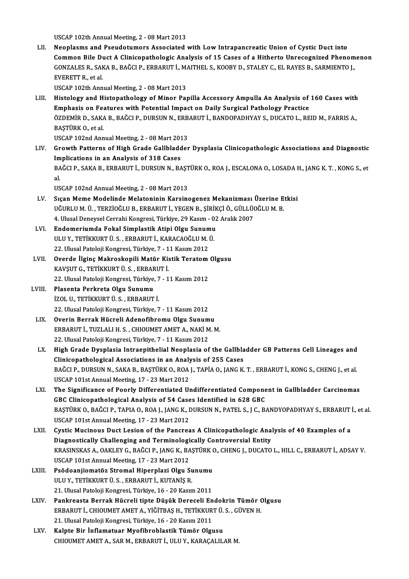USCAP 102th Annual Meeting, 2 - 08 Mart 2013

LII. Neoplasms and Pseudotumors Associated with Low Intrapancreatic Union of Cystic Duct into Common Bile Duct A Clinicopathologic Analysis of 15 Cases of a Hitherto Unrecognized Phenomenon Neoplasms and Pseudotumors Associated with Low Intrapancreatic Union of Cystic Duct into<br>Common Bile Duct A Clinicopathologic Analysis of 15 Cases of a Hitherto Unrecognized Phenom<br>GONZALES R., SAKA B., BAĞCI P., ERBARUT İ Common Bile Di<br>GONZALES R., SAH<br>EVERETT R., et al.<br>USCAP 102th Ann GONZALES R., SAKA B., BAĞCI P., ERBARUT İ., M.<br>EVERETT R., et al.<br>USCAP 102th Annual Meeting, 2 - 08 Mart 2013<br>Histology and Histonathology of Minor Boy EVERETT R., et al.<br>USCAP 102th Annual Meeting, 2 - 08 Mart 2013<br>LIII. Histology and Histopathology of Minor Papilla Accessory Ampulla An Analysis of 160 Cases with<br>Emphasis on Faatures with Betantial Impact on Daily Surgis USCAP 102th Annual Meeting, 2 - 08 Mart 2013<br>Histology and Histopathology of Minor Papilla Accessory Ampulla An Analysis of<br>Emphasis on Features with Potential Impact on Daily Surgical Pathology Practice<br>ÖZDEMİR D. SAKA R. Histology and Histopathology of Minor Papilla Accessory Ampulla An Analysis of 160 Cases with<br>Emphasis on Features with Potential Impact on Daily Surgical Pathology Practice<br>ÖZDEMİR D., SAKA B., BAĞCI P., DURSUN N., ERBARU E<mark>mphasis on Fe</mark><br>ÖZDEMİR D., SAK.<br>BAŞTÜRK O., et al.<br>USCAR 102nd Ann ÖZDEMİR D., SAKA B., BAĞCI P., DURSUN N., ERB.<br>BAŞTÜRK O., et al.<br>USCAP 102nd Annual Meeting, 2 - 08 Mart 2013<br>Crowth Batterns of High Crade Callbladder BAŞTÜRK O., et al.<br>USCAP 102nd Annual Meeting, 2 - 08 Mart 2013<br>LIV. Growth Patterns of High Grade Gallbladder Dysplasia Clinicopathologic Associations and Diagnostic<br>Implications in an Analysis of 318 Cases USCAP 102nd Annual Meeting, 2 - 08 Mart 2013 Growth Patterns of High Grade Gallbladder Dysplasia Clinicopathologic Associations and Diagnostic<br>Implications in an Analysis of 318 Cases<br>BAĞCI P., SAKA B., ERBARUT İ., DURSUN N., BAŞTÜRK O., ROA J., ESCALONA O., LOSADA H Im<br>BA<br>al<br>11c BAĞCI P., SAKA B., ERBARUT İ., DURSUN N., BAŞT<br>al.<br>USCAP 102nd Annual Meeting, 2 - 08 Mart 2013<br>Sısan Mama Madelinde Melatoninin Karsins al.<br>USCAP 102nd Annual Meeting, 2 - 08 Mart 2013<br>LV. Sıçan Meme Modelinde Melatoninin Karsinogenez Mekanizması Üzerine Etkisi<br>UĞURLUM Ü. TERZİQĞLU B. ERRARUT İ. VECEN B. SİRİKÇİ Ö. GÜLLÜQĞLUM B USCAP 102nd Annual Meeting, 2 - 08 Mart 2013<br>Sıçan Meme Modelinde Melatoninin Karsinogenez Mekanizması Üzerine E<br>UĞURLU M. Ü. , TERZİOĞLU B., ERBARUT İ., YEGEN B., ŞİRİKÇİ Ö., GÜLLÜOĞLU M. B.<br>4. Ulusal Danavsal Carrabi Kan Sıçan Meme Modelinde Melatoninin Karsinogenez Mekanizması<br>UĞURLU M. Ü. , TERZİOĞLU B., ERBARUT İ., YEGEN B., ŞİRİKÇİ Ö., GÜLLÜ(<br>4. Ulusal Deneysel Cerrahi Kongresi, Türkiye, 29 Kasım - 02 Aralık 2007<br>Endamariumda Fakal Sim UĞURLU M. Ü. , TERZİOĞLU B., ERBARUT İ., YEGEN B., ŞİRİK<br>4. Ulusal Deneysel Cerrahi Kongresi, Türkiye, 29 Kasım - 02<br>LVI. Bundomeriumda Fokal Simplastik Atipi Olgu Sunumu<br>1. HULLY TETİLYURT Ü. S. ERBARUT İ. KARAÇAQĞLUM Ü 4. Ulusal Deneysel Cerrahi Kongresi, Türkiye, 29 Kasım - 0<br>Endomeriumda Fokal Simplastik Atipi Olgu Sunumu<br>ULU Y., TETİKKURT Ü. S. , ERBARUT İ., KARACAOĞLU M. Ü.<br>22. Ulusal Patoloji Kongresi, Türkiye, 7., 11 Kasım 2012 Endomeriumda Fokal Simplastik Atipi Olgu Sunum<br>ULU Y., TETİKKURT Ü. S. , ERBARUT İ., KARACAOĞLU M. 1<br>22. Ulusal Patoloji Kongresi, Türkiye, 7 - 11 Kasım 2012<br>Querde İlgins Makroskanili Matür Kistik Teratam ULU Y., TETİKKURT Ü. S. , ERBARUT İ., KARACAOĞLU M. Ü.<br>22. Ulusal Patoloji Kongresi, Türkiye, 7 - 11 Kasım 2012<br>LVII. Overde İlginç Makroskopili Matür Kistik Teratom Olgusu<br>KAVSUT C. TETİKKUPT Ü.S. ERRAPUT İ. 22. Ulusal Patoloji Kongresi, Türkiye, 7 - 1<br>**Overde İlginç Makroskopili Matür Ki**s<br>KAVŞUT G., TETİKKURT Ü. S. , ERBARUT İ.<br>22. Husal Patoloji Kongresi, Türkiye, 7 - 1 Overde İlginç Makroskopili Matür Kistik Teratom<br>KAVŞUT G., TETİKKURT Ü. S. , ERBARUT İ.<br>22. Ulusal Patoloji Kongresi, Türkiye, 7 - 11 Kasım 2012<br>Plasenta Berkreta Olay Sunumu KAVŞUT G., TETİKKURT Ü. S. , ERBAR<br>22. Ulusal Patoloji Kongresi, Türkiye,<br>LVIII. Plasenta Perkreta Olgu Sunumu<br>1701. I. TETİKKUPT Ü. S. FRRARIT 22. Ulusal Patoloji Kongresi, Türkiye, 7<br>Plasenta Perkreta Olgu Sunumu<br>İZOL U., TETİKKURT Ü. S. , ERBARUT İ.<br>22. Ulusal Patoloji Kongresi, Türkiye, 7 Plasenta Perkreta Olgu Sunumu<br>İZOL U., TETİKKURT Ü. S. , ERBARUT İ.<br>22. Ulusal Patoloji Kongresi, Türkiye, 7 - 11 Kasım 2012 İZOL U., TETİKKURT Ü. S. , ERBARUT İ.<br>22. Ulusal Patoloji Kongresi, Türkiye, 7 - 11 Kasım 2012<br>LIX. Overin Berrak Hücreli Adenofibromu Olgu Sunumu<br>ERRABUT İ. TUZLALLH S. GUJOUMET AMET A. NAKİ M. 22. Ulusal Patoloji Kongresi, Türkiye, 7 - 11 Kasım 2012<br>**Overin Berrak Hücreli Adenofibromu Olgu Sunumu**<br>ERBARUT İ., TUZLALI H. S. , CHIOUMET AMET A., NAKİ M. M.<br><sup>22. Ulucal Patoloji Kongresi Türkiye 7 - 11 Kasım 2012</sup> Overin Berrak Hücreli Adenofibromu Olgu Sunum<br>ERBARUT İ., TUZLALI H. S. , CHIOUMET AMET A., NAKİ M<br>22. Ulusal Patoloji Kongresi, Türkiye, 7 - 11 Kasım 2012<br>Hish Grade Dusplasia Intreenithelial Neoplasia ef ERBARUT İ., TUZLALI H. S. , CHIOUMET AMET A., NAKİ M. M.<br>22. Ulusal Patoloji Kongresi, Türkiye, 7 - 11 Kasım 2012<br>LX. High Grade Dysplasia Intraepithelial Neoplasia of the Gallbladder GB Patterns Cell Lineages and<br>Clin 22. Ulusal Patoloji Kongresi, Türkiye, 7 - 11 Kasım 2012<br>High Grade Dysplasia Intraepithelial Neoplasia of the Gallbla<br>Clinicopathological Associations in an Analysis of 255 Cases<br>BAČCLP, DURSUN N. SAKA B. BASTÜRK O. POAL High Grade Dysplasia Intraepithelial Neoplasia of the Gallbladder GB Patterns Cell Lineages and<br>Clinicopathological Associations in an Analysis of 255 Cases<br>BAĞCI P., DURSUN N., SAKA B., BAŞTÜRK 0., ROA J., TAPİA 0., JANG Clinicopathological Associations in an Analysis of 255 Cases<br>BAĞCI P., DURSUN N., SAKA B., BAŞTÜRK O., ROA J., TAPİA O., JANG K.<br>USCAP 101st Annual Meeting, 17 - 23 Mart 2012 BAĞCI P., DURSUN N., SAKA B., BAŞTÜRK O., ROA J., TAPİA O., JANG K. T. , ERBARUT İ., KONG S., CHENG J., et al.<br>USCAP 101st Annual Meeting, 17 - 23 Mart 2012<br>LXI. The Significance of Poorly Differentiated Undifferentiat The Significance of Poorly Differentiated Undifferentiated Component in Gallbladder Carcinomas The Significance of Poorly Differentiated Undifferentiated Component in Gallbladder Carcinomas<br>GBC Clinicopathological Analysis of 54 Cases Identified in 628 GBC<br>BAŞTÜRK 0., BAĞCI P., TAPIA 0., ROA J., JANG K., DURSUN N., GBC Clinicopathological Analysis of 54 Case<br>BAŞTÜRK O., BAĞCI P., TAPIA O., ROA J., JANG K., I<br>USCAP 101st Annual Meeting, 17 - 23 Mart 2012<br>Cystic Musinous Dust Losion of the Bancres BAŞTÜRK O., BAĞCI P., TAPIA O., ROA J., JANG K., DURSUN N., PATEL S., J C., BANDYOPADHYAY S., ERBARUT<br>USCAP 101st Annual Meeting, 17 - 23 Mart 2012<br>LXII. Cystic Mucinous Duct Lesion of the Pancreas A Clinicopathologic Anal USCAP 101st Annual Meeting, 17 - 23 Mart 2012<br>Cystic Mucinous Duct Lesion of the Pancreas A Clinicopathologic Ana<br>Diagnostically Challenging and Terminologically Controversial Entity<br>VRASINSKAS A . OAKLEV C. BAČCLB, JANC K Cystic Mucinous Duct Lesion of the Pancreas A Clinicopathologic Analysis of 40 Examples of a<br>Diagnostically Challenging and Terminologically Controversial Entity<br>KRASINSKAS A., OAKLEY G., BAĞCI P., JANG K., BAŞTÜRK O., CHE Diagnostically Challenging and Terminologi<br>KRASINSKAS A., OAKLEY G., BAĞCI P., JANG K., BA<br>USCAP 101st Annual Meeting, 17 - 23 Mart 2012<br>Beğdeonijemetër Stromal Hinernlari Olay S KRASINSKAS A., OAKLEY G., BAĞCI P., JANG K., BAŞTÜRK (<br>USCAP 101st Annual Meeting, 17 - 23 Mart 2012<br>LXIII. Psödoanjiomatöz Stromal Hiperplazi Olgu Sunumu<br>III II. Y. TETİYYUPT Ü S., ERRABIT İ. YUTANİS R USCAP 101st Annual Meeting, 17 - 23 Mart 2012<br>Psödoanjiomatöz Stromal Hiperplazi Olgu Su<br>ULU Y., TETİKKURT Ü. S. , ERBARUT İ., KUTANİŞ R.<br>21 Hiyesi Patalaji Kangresi Türkiye, 16 - 20 Kasın Psödoanjiomatöz Stromal Hiperplazi Olgu Sunumu<br>ULU Y., TETİKKURT Ü. S. , ERBARUT İ., KUTANİŞ R.<br>21. Ulusal Patoloji Kongresi, Türkiye, 16 - 20 Kasım 2011<br>Pankresets Bernak Hüsreli tinte Düşük Dereseli En ULU Y., TETİKKURT Ü. S. , ERBARUT İ., KUTANİŞ R.<br>21. Ulusal Patoloji Kongresi, Türkiye, 16 - 20 Kasım 2011<br>LXIV. Pankreasta Berrak Hücreli tipte Düşük Dereceli Endokrin Tümör Olgusu 21. Ulusal Patoloji Kongresi, Türkiye, 16 - 20 Kasım 2011<br>Pankreasta Berrak Hücreli tipte Düşük Dereceli Endokrin Tümör (<br>ERBARUT İ., CHIOUMET AMET A., YİĞİTBAŞ H., TETİKKURT Ü. S. , GÜVEN H.<br>21. Ulusal Patalaji Kangresi T Pankreasta Berrak Hücreli tipte Düşük Dereceli En<br>ERBARUT İ., CHIOUMET AMET A., YİĞİTBAŞ H., TETİKKUR<br>21. Ulusal Patoloji Kongresi, Türkiye, 16 - 20 Kasım 2011<br>Kalnta Bir İnflamatuan Myafihnablastik Tümör Olsı ERBARUT İ., CHIOUMET AMET A., YİĞİTBAŞ H., TETİKKURT Ü.<br>21. Ulusal Patoloji Kongresi, Türkiye, 16 - 20 Kasım 2011<br>LXV. Kalpte Bir İnflamatuar Myofibroblastik Tümör Olgusu 21. Ulusal Patoloji Kongresi, Türkiye, 16 - 20 Kasım 2011<br>Kalpte Bir İnflamatuar Myofibroblastik Tümör Olgusu<br>CHIOUMET AMET A., SAR M., ERBARUT İ., ULU Y., KARAÇALILAR M.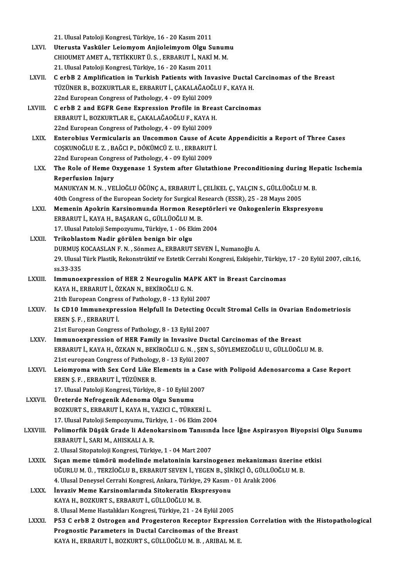21. Ulusal Patoloji Kongresi, Türkiye, 16 - 20 Kasım 2011

- 21. Ulusal Patoloji Kongresi, Türkiye, 16 20 Kasım 2011<br>LXVI. Uterusta Vasküler Leiomyom Anjioleimyom Olgu Sunumu<br>CHIOUMET AMET A TETİKKUPT ÜSERRARUT İ NAKİM M 21. Ulusal Patoloji Kongresi, Türkiye, 16 - 20 Kasım 2011<br>Uterusta Vasküler Leiomyom Anjioleimyom Olgu Sunum<br>CHIOUMET AMET A., TETİKKURT Ü. S. , ERBARUT İ., NAKİ M. M.<br>21. Ulusal Patalaji Kongresi, Türkiye, 16 - 20 Kasım 2 Uterusta Vasküler Leiomyom Anjioleimyom Olgu St<br>CHIOUMET AMET A., TETİKKURT Ü. S. , ERBARUT İ., NAKİ<br>21. Ulusal Patoloji Kongresi, Türkiye, 16 - 20 Kasım 2011<br>C. erbB 2. Amplification in Turkish Patients with Inv CHIOUMET AMET A., TETİKKURT Ü. S. , ERBARUT İ., NAKİ M. M.<br>21. Ulusal Patoloji Kongresi, Türkiye, 16 - 20 Kasım 2011<br>LXVII. C erbB 2 Amplification in Turkish Patients with Invasive Ductal Carcinomas of the Breast
- 21. Ulusal Patoloji Kongresi, Türkiye, 16 20 Kasım 2011<br>C erbB 2 Amplification in Turkish Patients with Invasive Ductal<br>TÜZÜNER B., BOZKURTLAR E., ERBARUT İ., ÇAKALAĞAOĞLU F., KAYA H.<br>22nd European Congress of Bathology C erbB 2 Amplification in Turkish Patients with Inv<br>TÜZÜNER B., BOZKURTLAR E., ERBARUT İ., ÇAKALAĞAOĞ<br>22nd European Congress of Pathology, 4 - 09 Eylül 2009<br>C erbB 2 and ECEB Cane Evensessian Prefile in Bre TÜZÜNER B., BOZKURTLAR E., ERBARUT İ., ÇAKALAĞAOĞLU F., KAYA H.<br>22nd European Congress of Pathology, 4 - 09 Eylül 2009<br>LXVIII. C erbB 2 and EGFR Gene Expression Profile in Breast Carcinomas
- 22nd European Congress of Pathology, 4 09 Eylül 2009<br>C erbB 2 and EGFR Gene Expression Profile in Brea<br>ERBARUT İ., BOZKURTLAR E., ÇAKALAĞAOĞLU F., KAYA H.<br>22nd European Congress of Pathology, 4 09 Eylül 2009 C erbB 2 and EGFR Gene Expression Profile in Breach<br>ERBARUT İ., BOZKURTLAR E., ÇAKALAĞAOĞLU F., KAYA H<br>22nd European Congress of Pathology, 4 - 09 Eylül 2009<br>Enterobius Vermisularis en Unsemmen Cause of A
- ERBARUT İ., BOZKURTLAR E., ÇAKALAĞAOĞLU F., KAYA H.<br>22nd European Congress of Pathology, 4 09 Eylül 2009<br>LXIX. Enterobius Vermicularis an Uncommon Cause of Acute Appendicitis a Report of Three Cases<br>COSKUNOĞLU E 7 BAĞC 22nd European Congress of Pathology, 4 - 09 Eylül 2009<br>Enterobius Vermicularis an Uncommon Cause of Act<br>COȘKUNOĞLU E. Z. , BAĞCI P., DÖKÜMCÜ Z. U. , ERBARUT İ.<br>22nd European Congress of Pathology, 4 - 09 Eylül 2009 Enterobius Vermicularis an Uncommon Cause of A<br>COȘKUNOĞLU E. Z. , BAĞCI P., DÖKÜMCÜ Z. U. , ERBARUT<br>22nd European Congress of Pathology, 4 - 09 Eylül 2009<br>The Bole of Heme Owygenese 1 System after Glutat COSKUNOĞLU E. Z. , BAĞCI P., DÖKÜMCÜ Z. U. , ERBARUT İ.<br>22nd European Congress of Pathology, 4 - 09 Eylül 2009<br>LXX. The Role of Heme Oxygenase 1 System after Glutathione Preconditioning during Hepatic Ischemia<br>Penerfus
- **22nd European Congr<br>The Role of Heme O<br>Reperfusion Injury**<br>MANUKYAN M N VE The Role of Heme Oxygenase 1 System after Glutathione Preconditioning during He<br>Reperfusion Injury<br>MANUKYAN M. N. , VELİOĞLU ÖĞÜNÇA., ERBARUT İ., ÇELİKEL Ç., YALÇIN S., GÜLLÜOĞLU M. B.<br>40th Congress of the European Sosiaty Reperfusion Injury<br>MANUKYAN M. N. , VELİOĞLU ÖĞÜNÇ A., ERBARUT İ., ÇELİKEL Ç., YALÇIN S., GÜLLÜOĞLU<br>40th Congress of the European Society for Surgical Research (ESSR), 25 - 28 Mayıs 2005<br>Mamanin Anakrin Karsinamunda Harman

- MANUKYAN M. N. , VELİOĞLU ÖĞÜNÇ A., ERBARUT İ., ÇELİKEL Ç., YALÇIN S., GÜLLÜOĞLU M. B.<br>40th Congress of the European Society for Surgical Research (ESSR), 25 28 Mayıs 2005<br>LXXI. Memenin Apokrin Karsinomunda Hormon Resept 40th Congress of the European Society for Surgical Research (ESSR), 25 - 28 Mayıs 2005<br>Memenin Apokrin Karsinomunda Hormon Reseptörleri ve Onkogenlerin Ekspresyonu<br>ERBARUT İ., KAYA H., BAŞARAN G., GÜLLÜOĞLU M. B. Memenin Apokrin Karsinomunda Hormon Reseptörle<br>ERBARUT İ., KAYA H., BAŞARAN G., GÜLLÜOĞLU M. B.<br>17. Ulusal Patoloji Sempozyumu, Türkiye, 1 - 06 Ekim 2004<br>Trikablastam Nadin görülen banisa bir alsı. ERBARUT İ., KAYA H., BAŞARAN G., GÜLLÜOĞLU M<br>17. Ulusal Patoloji Sempozyumu, Türkiye, 1 - 06 Ek<br>LXXII. Trikoblastom Nadir görülen benign bir olgu<br>DUPMUS KOCAASLAN E.N. Sönmez A. ERBARUT
- Trikoblastom Nadir görülen benign bir olgu<br>DURMUŞ KOCAASLAN F. N., Sönmez A., ERBARUT SEVEN İ., Numanoğlu A. Trikoblastom Nadir görülen benign bir olgu<br>DURMUŞ KOCAASLAN F. N. , Sönmez A., ERBARUT SEVEN İ., Numanoğlu A.<br>29. Ulusal Türk Plastik, Rekonstrüktif ve Estetik Cerrahi Kongresi, Eskişehir, Türkiye, 17 - 20 Eylül 2007, cilt DURMUŞ K<br>29. Ulusal<br>ss.33-335<br>Immunee 29. Ulusal Türk Plastik, Rekonstrüktif ve Estetik Cerrahi Kongresi, Eskişehir, Türkiye,<br>ss.33-335<br>LXXIII. Immunoexpression of HER 2 Neurogulin MAPK AKT in Breast Carcinomas
- ss.33-335<br>Immunoexpression of HER 2 Neurogulin MAPK AK<br>KAYA H., ERBARUT İ., ÖZKAN N., BEKİROĞLU G. N.<br>21th European Congress of Pathology, 8 13 Eylül 2007 Immunoexpression of HER 2 Neurogulin MAPK AKT in Breast Carcinomas
- KAYA H., ERBARUT İ., ÖZKAN N., BEKİROĞLU G. N.<br>21th European Congress of Pathology, 8 13 Eylül 2007<br>LXXIV. Is CD10 Immunexpression Helpfull In Detecting Occult Stromal Cells in Ovarian Endometriosis<br>EREN S. E. ERRARI 21th European Congres<br>Is CD10 Immunexpre<br>EREN Ş. F. , ERBARUT İ.<br>21st European Congres Is CD10 Immunexpression Helpfull In Detecting O<br>EREN Ş. F. , ERBARUT İ.<br>21st European Congress of Pathology, 8 - 13 Eylül 2007<br>Immuneaunneasion of HEB Family in Invesive Dus EREN Ş. F. , ERBARUT İ.<br>21st European Congress of Pathology, 8 - 13 Eylül 2007<br>LXXV. Immunoexpression of HER Family in Invasive Ductal Carcinomas of the Breast

- 21st European Congress of Pathology, 8 13 Eylül 2007<br>Immunoexpression of HER Family in Invasive Ductal Carcinomas of the Breast<br>ERBARUT İ., KAYA H., ÖZKAN N., BEKİROĞLU G. N. , ŞEN S., SÖYLEMEZOĞLU U., GÜLLÜOĞLU M. B.<br>21 Immunoexpression of HER Family in Invasive Duc<br>ERBARUT İ., KAYA H., ÖZKAN N., BEKİROĞLU G. N. , ŞEN S<br>21st european Congress of Pathology, 8 - 13 Eylül 2007<br>Lajamyanna with Say Card Lika Elamanta in a Casa ERBARUT İ., KAYA H., ÖZKAN N., BEKİROĞLU G. N. , ŞEN S., SÖYLEMEZOĞLU U., GÜLLÜOĞLU M. B.<br>21st european Congress of Pathology, 8 - 13 Eylül 2007<br>LXXVI. Leiomyoma with Sex Cord Like Elements in a Case with Polipoid Aden
- 21st european Congress of Pathology<br>Leiomyoma with Sex Cord Like E<br>EREN Ş. F. , ERBARUT İ., TÜZÜNER B.<br>17. Ulusel Peteleji Kongresi Türkiye Leiomyoma with Sex Cord Like Elements in a Cas<br>EREN Ş. F. , ERBARUT İ., TÜZÜNER B.<br>17. Ulusal Patoloji Kongresi, Türkiye, 8 - 10 Eylül 2007<br>Üneterde Nefnaganik Adanama Olay Sunumu EREN Ş. F. , ERBARUT İ., TÜZÜNER B.<br>17. Ulusal Patoloji Kongresi, Türkiye, 8 - 10 Eylül 2007<br>LXXVII. Üreterde Nefrogenik Adenoma Olgu Sunumu
	-
- 17. Ulusal Patoloji Kongresi, Türkiye, 8 10 Eylül 2007<br>Üreterde Nefrogenik Adenoma Olgu Sunumu<br>BOZKURT S., ERBARUT İ., KAYA H., YAZICI C., TÜRKERİ L.<br>17. Ulusal Patoloji Somnogyumu, Türkiye, 1., 06 Ekim 200 Üreterde Nefrogenik Adenoma Olgu Sunumu<br>BOZKURT S., ERBARUT İ., KAYA H., YAZICI C., TÜRKERİ L.<br>17. Ulusal Patoloji Sempozyumu, Türkiye, 1 - 06 Ekim 2004<br>Polimarfik Düşük Crada li Adanakarsinam Tanısında
- BOZKURT S., ERBARUT İ., KAYA H., YAZICI C., TÜRKERİ L.<br>17. Ulusal Patoloji Sempozyumu, Türkiye, 1 06 Ekim 2004<br>LXXVIII. Polimorfik Düşük Grade li Adenokarsinom Tanısında İnce İğne Aspirasyon Biyopsisi Olgu Sunumu<br>ERR 17. Ulusal Patoloji Sempozyumu, Türkiye, 1 - 06 Ekim 2004<br>Polimorfik Düşük Grade li Adenokarsinom Tanısında<br>ERBARUT İ., SARI M., AHISKALI A. R.<br>2. Ulusal Sitopatoloji Kongresi, Türkiye, 1 - 04 Mart 2007 2. <mark>Polimorfik Düşük Grade li Adenokarsinom Tanısın</mark><br>ERBARUT İ., SARI M., AHISKALI A. R.<br>2. Ulusal Sitopatoloji Kongresi, Türkiye, 1 - 04 Mart 2007<br>Sısan mama tümörü madelinde malatanının karsin

- ERBARUT İ., SARI M., AHISKALI A. R.<br>2. Ulusal Sitopatoloji Kongresi, Türkiye, 1 04 Mart 2007<br>LXXIX. Sıçan meme tümörü modelinde melatoninin karsinogenez mekanizması üzerine etkisi 2. Ulusal Sitopatoloji Kongresi, Türkiye, 1 - 04 Mart 2007<br>Sıçan meme tümörü modelinde melatoninin karsinogenez mekanizması üzerine<br>UĞURLU M. Ü. , TERZİOĞLU B., ERBARUT SEVEN İ., YEGEN B., ŞİRİKÇİ Ö., GÜLLÜOĞLU M. B.<br>4. Ul Sıçan meme tümörü modelinde melatoninin karsinogenez mekanizması<br>UĞURLU M. Ü. , TERZİOĞLU B., ERBARUT SEVEN İ., YEGEN B., ŞİRİKÇİ Ö., GÜLLÜO<br>4. Ulusal Deneysel Cerrahi Kongresi, Ankara, Türkiye, 29 Kasım - 01 Aralık 2006<br>İ UĞURLU M. Ü. , TERZİOĞLU B., ERBARUT SEVEN İ., YEGEN B., ŞİRİKÇİ Ö., GÜLLÜOĞLU M. B.<br>4. Ulusal Deneysel Cerrahi Kongresi, Ankara, Türkiye, 29 Kasım - 01 Aralık 2006<br>LXXX. İnvaziv Meme Karsinomlarında Sitokeratin Ekspre
- KAYA H., BOZKURT S., ERBARUT İ., GÜLLÜOĞLU M. B. İnvaziv Meme Karsinomlarında Sitokeratin Ekspresyonu<br>KAYA H., BOZKURT S., ERBARUT İ., GÜLLÜOĞLU M. B.<br>8. Ulusal Meme Hastalıkları Kongresi, Türkiye, 21 - 24 Eylül 2005<br>PE3 C. erbB 3. Ostrogen and Progesteren Besenter Eunre
- KAYA H., BOZKURT S., ERBARUT İ., GÜLLÜOĞLU M. B.<br>8. Ulusal Meme Hastalıkları Kongresi, Türkiye, 21 24 Eylül 2005<br>LXXXI. P53 C erbB 2 Ostrogen and Progesteron Receptor Expression Correlation with the Histopathological 8. Ulusal Meme Hastalıkları Kongresi, Türkiye, 21 - 24 Eylül 2005<br>P53 C erbB 2 Ostrogen and Progesteron Receptor Expressi<br>Prognostic Parameters in Ductal Carcinomas of the Breast<br>KAVA H. EPRABUT İ. POZKURTS, CÜLLÜQĞLUM B. P53 C erbB 2 Ostrogen and Progesteron Receptor Expressi<br>Prognostic Parameters in Ductal Carcinomas of the Breast<br>KAYA H., ERBARUT İ., BOZKURT S., GÜLLÜOĞLU M. B. , ARIBAL M. E.